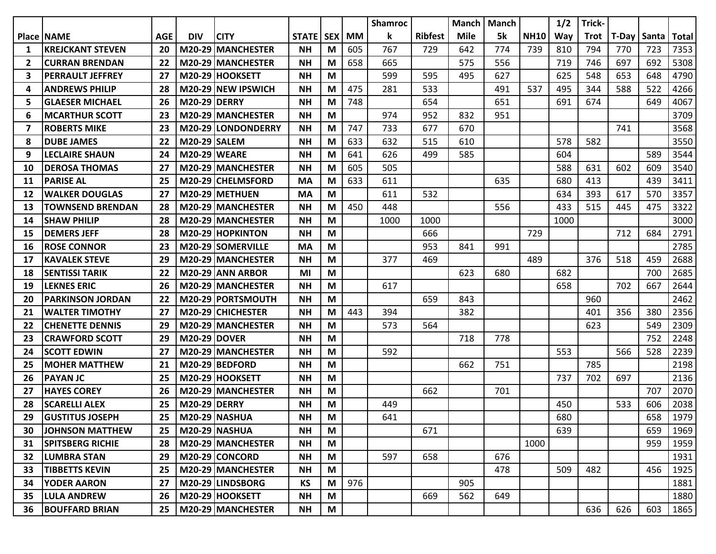|                |                         |            |                     |                          |              |            |           | <b>Shamroc</b> |                | <b>Manch</b> | <b>Manch</b> |             | 1/2  | Trick- |             |     |       |
|----------------|-------------------------|------------|---------------------|--------------------------|--------------|------------|-----------|----------------|----------------|--------------|--------------|-------------|------|--------|-------------|-----|-------|
|                | Place NAME              | <b>AGE</b> | <b>DIV</b>          | <b>CITY</b>              | <b>STATE</b> | <b>SEX</b> | <b>MM</b> | k              | <b>Ribfest</b> | <b>Mile</b>  | 5k           | <b>NH10</b> | Way  | Trot   | T-Day Santa |     | Total |
| 1              | <b>KREJCKANT STEVEN</b> | 20         |                     | M20-29 MANCHESTER        | <b>NH</b>    | M          | 605       | 767            | 729            | 642          | 774          | 739         | 810  | 794    | 770         | 723 | 7353  |
| $\overline{2}$ | <b>CURRAN BRENDAN</b>   | 22         |                     | M20-29 MANCHESTER        | <b>NH</b>    | M          | 658       | 665            |                | 575          | 556          |             | 719  | 746    | 697         | 692 | 5308  |
| 3              | <b>PERRAULT JEFFREY</b> | 27         |                     | M20-29 HOOKSETT          | <b>NH</b>    | M          |           | 599            | 595            | 495          | 627          |             | 625  | 548    | 653         | 648 | 4790  |
| 4              | <b>ANDREWS PHILIP</b>   | 28         |                     | M20-29 NEW IPSWICH       | <b>NH</b>    | М          | 475       | 281            | 533            |              | 491          | 537         | 495  | 344    | 588         | 522 | 4266  |
| 5              | <b>GLAESER MICHAEL</b>  | 26         | <b>M20-29 DERRY</b> |                          | <b>NH</b>    | M          | 748       |                | 654            |              | 651          |             | 691  | 674    |             | 649 | 4067  |
| 6              | <b>MCARTHUR SCOTT</b>   | 23         |                     | M20-29 MANCHESTER        | <b>NH</b>    | M          |           | 974            | 952            | 832          | 951          |             |      |        |             |     | 3709  |
| 7              | <b>ROBERTS MIKE</b>     | 23         |                     | M20-29 LONDONDERRY       | <b>NH</b>    | M          | 747       | 733            | 677            | 670          |              |             |      |        | 741         |     | 3568  |
| 8              | <b>DUBE JAMES</b>       | 22         | <b>M20-29 SALEM</b> |                          | <b>NH</b>    | M          | 633       | 632            | 515            | 610          |              |             | 578  | 582    |             |     | 3550  |
| 9              | <b>LECLAIRE SHAUN</b>   | 24         | <b>M20-29 WEARE</b> |                          | <b>NH</b>    | M          | 641       | 626            | 499            | 585          |              |             | 604  |        |             | 589 | 3544  |
| 10             | <b>DEROSA THOMAS</b>    | 27         |                     | M20-29 MANCHESTER        | <b>NH</b>    | M          | 605       | 505            |                |              |              |             | 588  | 631    | 602         | 609 | 3540  |
| 11             | <b>PARISE AL</b>        | 25         |                     | M20-29 CHELMSFORD        | MA           | М          | 633       | 611            |                |              | 635          |             | 680  | 413    |             | 439 | 3411  |
| 12             | <b>WALKER DOUGLAS</b>   | 27         |                     | M20-29 METHUEN           | <b>MA</b>    | M          |           | 611            | 532            |              |              |             | 634  | 393    | 617         | 570 | 3357  |
| 13             | <b>TOWNSEND BRENDAN</b> | 28         |                     | <b>M20-29 MANCHESTER</b> | <b>NH</b>    | M          | 450       | 448            |                |              | 556          |             | 433  | 515    | 445         | 475 | 3322  |
| 14             | <b>SHAW PHILIP</b>      | 28         |                     | M20-29 MANCHESTER        | <b>NH</b>    | M          |           | 1000           | 1000           |              |              |             | 1000 |        |             |     | 3000  |
| 15             | <b>DEMERS JEFF</b>      | 28         |                     | M20-29 HOPKINTON         | <b>NH</b>    | M          |           |                | 666            |              |              | 729         |      |        | 712         | 684 | 2791  |
| 16             | <b>ROSE CONNOR</b>      | 23         |                     | M20-29 SOMERVILLE        | <b>MA</b>    | M          |           |                | 953            | 841          | 991          |             |      |        |             |     | 2785  |
| 17             | <b>KAVALEK STEVE</b>    | 29         |                     | M20-29 MANCHESTER        | <b>NH</b>    | M          |           | 377            | 469            |              |              | 489         |      | 376    | 518         | 459 | 2688  |
| 18             | <b>SENTISSI TARIK</b>   | 22         |                     | M20-29 ANN ARBOR         | MI           | M          |           |                |                | 623          | 680          |             | 682  |        |             | 700 | 2685  |
| 19             | <b>LEKNES ERIC</b>      | 26         |                     | M20-29 MANCHESTER        | <b>NH</b>    | M          |           | 617            |                |              |              |             | 658  |        | 702         | 667 | 2644  |
| 20             | <b>PARKINSON JORDAN</b> | 22         |                     | M20-29 PORTSMOUTH        | <b>NH</b>    | M          |           |                | 659            | 843          |              |             |      | 960    |             |     | 2462  |
| 21             | <b>WALTER TIMOTHY</b>   | 27         |                     | M20-29 CHICHESTER        | <b>NH</b>    | M          | 443       | 394            |                | 382          |              |             |      | 401    | 356         | 380 | 2356  |
| 22             | <b>CHENETTE DENNIS</b>  | 29         |                     | M20-29 MANCHESTER        | <b>NH</b>    | M          |           | 573            | 564            |              |              |             |      | 623    |             | 549 | 2309  |
| 23             | <b>CRAWFORD SCOTT</b>   | 29         | <b>M20-29 DOVER</b> |                          | <b>NH</b>    | M          |           |                |                | 718          | 778          |             |      |        |             | 752 | 2248  |
| 24             | <b>SCOTT EDWIN</b>      | 27         |                     | M20-29 MANCHESTER        | <b>NH</b>    | M          |           | 592            |                |              |              |             | 553  |        | 566         | 528 | 2239  |
| 25             | <b>MOHER MATTHEW</b>    | 21         |                     | M20-29 BEDFORD           | <b>NH</b>    | M          |           |                |                | 662          | 751          |             |      | 785    |             |     | 2198  |
| 26             | <b>PAYAN JC</b>         | 25         |                     | M20-29 HOOKSETT          | <b>NH</b>    | M          |           |                |                |              |              |             | 737  | 702    | 697         |     | 2136  |
| 27             | <b>HAYES COREY</b>      | 26         |                     | M20-29 MANCHESTER        | <b>NH</b>    | M          |           |                | 662            |              | 701          |             |      |        |             | 707 | 2070  |
| 28             | <b>SCARELLI ALEX</b>    | 25         | <b>M20-29 DERRY</b> |                          | <b>NH</b>    | M          |           | 449            |                |              |              |             | 450  |        | 533         | 606 | 2038  |
| 29             | <b>GUSTITUS JOSEPH</b>  | 25         |                     | <b>M20-29 NASHUA</b>     | <b>NH</b>    | M          |           | 641            |                |              |              |             | 680  |        |             | 658 | 1979  |
| 30             | <b>JOHNSON MATTHEW</b>  | 25         |                     | <b>M20-29 NASHUA</b>     | <b>NH</b>    | M          |           |                | 671            |              |              |             | 639  |        |             | 659 | 1969  |
| 31             | <b>SPITSBERG RICHIE</b> | 28         |                     | M20-29 MANCHESTER        | <b>NH</b>    | M          |           |                |                |              |              | 1000        |      |        |             | 959 | 1959  |
| 32             | <b>LUMBRA STAN</b>      | 29         |                     | M20-29 CONCORD           | <b>NH</b>    | M          |           | 597            | 658            |              | 676          |             |      |        |             |     | 1931  |
| 33             | <b>TIBBETTS KEVIN</b>   | 25         |                     | M20-29 MANCHESTER        | <b>NH</b>    | M          |           |                |                |              | 478          |             | 509  | 482    |             | 456 | 1925  |
| 34             | <b>YODER AARON</b>      | 27         |                     | M20-29 LINDSBORG         | KS           | M          | 976       |                |                | 905          |              |             |      |        |             |     | 1881  |
| 35             | <b>LULA ANDREW</b>      | 26         |                     | M20-29 HOOKSETT          | <b>NH</b>    | M          |           |                | 669            | 562          | 649          |             |      |        |             |     | 1880  |
| 36.            | <b>BOUFFARD BRIAN</b>   | 25         |                     | M20-29 MANCHESTER        | <b>NH</b>    | M          |           |                |                |              |              |             |      | 636    | 626         | 603 | 1865  |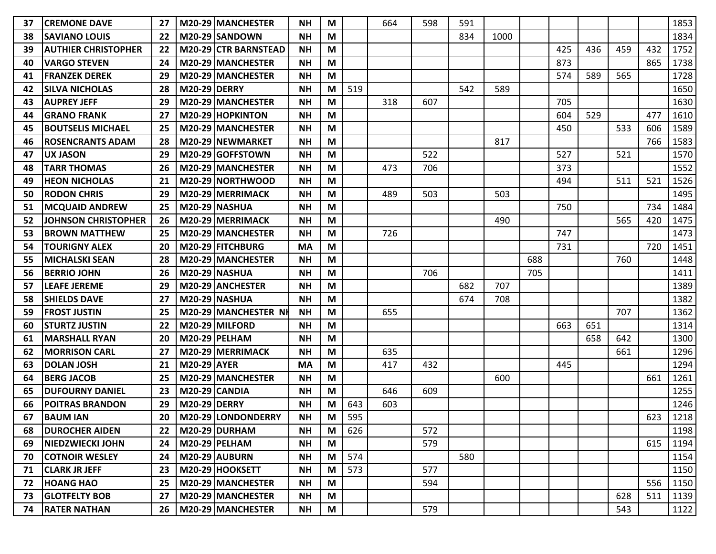| 37 | <b>CREMONE DAVE</b>        | 27 |                     | M20-29 MANCHESTER    | NΗ        | M |     | 664 | 598 | 591 |      |     |     |     |     |     | 1853 |
|----|----------------------------|----|---------------------|----------------------|-----------|---|-----|-----|-----|-----|------|-----|-----|-----|-----|-----|------|
| 38 | <b>SAVIANO LOUIS</b>       | 22 |                     | M20-29 SANDOWN       | <b>NH</b> | M |     |     |     | 834 | 1000 |     |     |     |     |     | 1834 |
| 39 | <b>AUTHIER CHRISTOPHER</b> | 22 |                     | M20-29 CTR BARNSTEAD | <b>NH</b> | M |     |     |     |     |      |     | 425 | 436 | 459 | 432 | 1752 |
| 40 | <b>VARGO STEVEN</b>        | 24 |                     | M20-29 MANCHESTER    | <b>NH</b> | M |     |     |     |     |      |     | 873 |     |     | 865 | 1738 |
| 41 | <b>FRANZEK DEREK</b>       | 29 |                     | M20-29 MANCHESTER    | <b>NH</b> | M |     |     |     |     |      |     | 574 | 589 | 565 |     | 1728 |
| 42 | <b>SILVA NICHOLAS</b>      | 28 | <b>M20-29 DERRY</b> |                      | <b>NH</b> | M | 519 |     |     | 542 | 589  |     |     |     |     |     | 1650 |
| 43 | <b>AUPREY JEFF</b>         | 29 |                     | M20-29 MANCHESTER    | <b>NH</b> | M |     | 318 | 607 |     |      |     | 705 |     |     |     | 1630 |
| 44 | IGRANO FRANK               | 27 |                     | M20-29 HOPKINTON     | <b>NH</b> | M |     |     |     |     |      |     | 604 | 529 |     | 477 | 1610 |
| 45 | <b>BOUTSELIS MICHAEL</b>   | 25 |                     | M20-29 MANCHESTER    | <b>NH</b> | M |     |     |     |     |      |     | 450 |     | 533 | 606 | 1589 |
| 46 | <b>ROSENCRANTS ADAM</b>    | 28 |                     | M20-29 NEWMARKET     | <b>NH</b> | M |     |     |     |     | 817  |     |     |     |     | 766 | 1583 |
| 47 | <b>UX JASON</b>            | 29 |                     | M20-29 GOFFSTOWN     | <b>NH</b> | M |     |     | 522 |     |      |     | 527 |     | 521 |     | 1570 |
| 48 | <b>TARR THOMAS</b>         | 26 |                     | M20-29 MANCHESTER    | <b>NH</b> | M |     | 473 | 706 |     |      |     | 373 |     |     |     | 1552 |
| 49 | <b>HEON NICHOLAS</b>       | 21 |                     | M20-29 NORTHWOOD     | <b>NH</b> | M |     |     |     |     |      |     | 494 |     | 511 | 521 | 1526 |
| 50 | <b>RODON CHRIS</b>         | 29 |                     | M20-29 MERRIMACK     | <b>NH</b> | M |     | 489 | 503 |     | 503  |     |     |     |     |     | 1495 |
| 51 | <b>MCQUAID ANDREW</b>      | 25 |                     | <b>M20-29 NASHUA</b> | NΗ        | M |     |     |     |     |      |     | 750 |     |     | 734 | 1484 |
| 52 | JOHNSON CHRISTOPHER        | 26 |                     | M20-29 MERRIMACK     | <b>NH</b> | M |     |     |     |     | 490  |     |     |     | 565 | 420 | 1475 |
| 53 | <b>BROWN MATTHEW</b>       | 25 |                     | M20-29 MANCHESTER    | <b>NH</b> | M |     | 726 |     |     |      |     | 747 |     |     |     | 1473 |
| 54 | <b>TOURIGNY ALEX</b>       | 20 |                     | M20-29 FITCHBURG     | <b>MA</b> | M |     |     |     |     |      |     | 731 |     |     | 720 | 1451 |
| 55 | <b>MICHALSKI SEAN</b>      | 28 |                     | M20-29 MANCHESTER    | <b>NH</b> | M |     |     |     |     |      | 688 |     |     | 760 |     | 1448 |
| 56 | <b>BERRIO JOHN</b>         | 26 |                     | <b>M20-29 NASHUA</b> | <b>NH</b> | M |     |     | 706 |     |      | 705 |     |     |     |     | 1411 |
| 57 | <b>LEAFE JEREME</b>        | 29 |                     | M20-29 ANCHESTER     | <b>NH</b> | M |     |     |     | 682 | 707  |     |     |     |     |     | 1389 |
| 58 | <b>SHIELDS DAVE</b>        | 27 |                     | <b>M20-29 NASHUA</b> | <b>NH</b> | M |     |     |     | 674 | 708  |     |     |     |     |     | 1382 |
| 59 | <b>FROST JUSTIN</b>        | 25 |                     | M20-29 MANCHESTER NH | <b>NH</b> | M |     | 655 |     |     |      |     |     |     | 707 |     | 1362 |
| 60 | <b>STURTZ JUSTIN</b>       | 22 |                     | M20-29 MILFORD       | <b>NH</b> | M |     |     |     |     |      |     | 663 | 651 |     |     | 1314 |
| 61 | <b>MARSHALL RYAN</b>       | 20 |                     | M20-29 PELHAM        | <b>NH</b> | M |     |     |     |     |      |     |     | 658 | 642 |     | 1300 |
| 62 | <b>MORRISON CARL</b>       | 27 |                     | M20-29 MERRIMACK     | <b>NH</b> | M |     | 635 |     |     |      |     |     |     | 661 |     | 1296 |
| 63 | <b>DOLAN JOSH</b>          | 21 | <b>M20-29 AYER</b>  |                      | MA        | M |     | 417 | 432 |     |      |     | 445 |     |     |     | 1294 |
| 64 | <b>BERG JACOB</b>          | 25 |                     | M20-29 MANCHESTER    | <b>NH</b> | M |     |     |     |     | 600  |     |     |     |     | 661 | 1261 |
| 65 | <b>DUFOURNY DANIEL</b>     | 23 |                     | M20-29 CANDIA        | <b>NH</b> | M |     | 646 | 609 |     |      |     |     |     |     |     | 1255 |
| 66 | <b>POITRAS BRANDON</b>     | 29 | <b>M20-29 DERRY</b> |                      | <b>NH</b> | M | 643 | 603 |     |     |      |     |     |     |     |     | 1246 |
| 67 | <b>BAUM IAN</b>            | 20 |                     | M20-29 LONDONDERRY   | <b>NH</b> | M | 595 |     |     |     |      |     |     |     |     | 623 | 1218 |
| 68 | <b>DUROCHER AIDEN</b>      | 22 |                     | M20-29 DURHAM        | <b>NH</b> | M | 626 |     | 572 |     |      |     |     |     |     |     | 1198 |
| 69 | NIEDZWIECKI JOHN           | 24 |                     | $M20-29$ PELHAM      | <b>NH</b> | M |     |     | 579 |     |      |     |     |     |     | 615 | 1194 |
| 70 | <b>COTNOIR WESLEY</b>      | 24 |                     | M20-29 AUBURN        | <b>NH</b> | M | 574 |     |     | 580 |      |     |     |     |     |     | 1154 |
| 71 | <b>CLARK JR JEFF</b>       | 23 |                     | M20-29 HOOKSETT      | <b>NH</b> | M | 573 |     | 577 |     |      |     |     |     |     |     | 1150 |
| 72 | <b>HOANG HAO</b>           | 25 |                     | M20-29 MANCHESTER    | <b>NH</b> | M |     |     | 594 |     |      |     |     |     |     | 556 | 1150 |
| 73 | <b>GLOTFELTY BOB</b>       | 27 |                     | M20-29 MANCHESTER    | <b>NH</b> | M |     |     |     |     |      |     |     |     | 628 | 511 | 1139 |
| 74 | <b>RATER NATHAN</b>        | 26 |                     | M20-29 MANCHESTER    | <b>NH</b> | M |     |     | 579 |     |      |     |     |     | 543 |     | 1122 |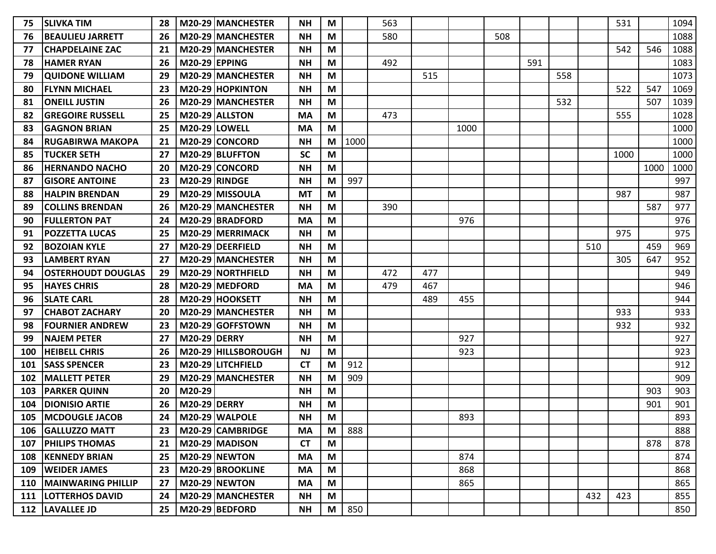| 75  | <b>SLIVKA TIM</b>         | 28 |                      | M20-29 MANCHESTER    | <b>NH</b> | M |      | 563 |     |      |     |     |     |     | 531  |      | 1094 |
|-----|---------------------------|----|----------------------|----------------------|-----------|---|------|-----|-----|------|-----|-----|-----|-----|------|------|------|
| 76  | <b>BEAULIEU JARRETT</b>   | 26 |                      | M20-29 MANCHESTER    | <b>NH</b> | M |      | 580 |     |      | 508 |     |     |     |      |      | 1088 |
| 77  | <b>CHAPDELAINE ZAC</b>    | 21 |                      | M20-29 MANCHESTER    | <b>NH</b> | M |      |     |     |      |     |     |     |     | 542  | 546  | 1088 |
| 78  | <b>HAMER RYAN</b>         | 26 | <b>M20-29 EPPING</b> |                      | <b>NH</b> | M |      | 492 |     |      |     | 591 |     |     |      |      | 1083 |
| 79  | <b>QUIDONE WILLIAM</b>    | 29 |                      | M20-29 MANCHESTER    | <b>NH</b> | M |      |     | 515 |      |     |     | 558 |     |      |      | 1073 |
| 80  | <b>FLYNN MICHAEL</b>      | 23 |                      | M20-29 HOPKINTON     | <b>NH</b> | M |      |     |     |      |     |     |     |     | 522  | 547  | 1069 |
| 81  | <b>ONEILL JUSTIN</b>      | 26 |                      | M20-29 MANCHESTER    | <b>NH</b> | M |      |     |     |      |     |     | 532 |     |      | 507  | 1039 |
| 82  | <b>GREGOIRE RUSSELL</b>   | 25 |                      | M20-29 ALLSTON       | MA        | M |      | 473 |     |      |     |     |     |     | 555  |      | 1028 |
| 83  | <b>GAGNON BRIAN</b>       | 25 | <b>M20-29 LOWELL</b> |                      | <b>MA</b> | M |      |     |     | 1000 |     |     |     |     |      |      | 1000 |
| 84  | <b>RUGABIRWA MAKOPA</b>   | 21 |                      | M20-29 CONCORD       | <b>NH</b> | M | 1000 |     |     |      |     |     |     |     |      |      | 1000 |
| 85  | <b>TUCKER SETH</b>        | 27 |                      | M20-29 BLUFFTON      | <b>SC</b> | M |      |     |     |      |     |     |     |     | 1000 |      | 1000 |
| 86  | <b>HERNANDO NACHO</b>     | 20 |                      | M20-29 CONCORD       | <b>NH</b> | M |      |     |     |      |     |     |     |     |      | 1000 | 1000 |
| 87  | <b>GISORE ANTOINE</b>     | 23 | <b>M20-29 RINDGE</b> |                      | <b>NH</b> | M | 997  |     |     |      |     |     |     |     |      |      | 997  |
| 88  | <b>HALPIN BRENDAN</b>     | 29 |                      | M20-29 MISSOULA      | <b>MT</b> | M |      |     |     |      |     |     |     |     | 987  |      | 987  |
| 89  | <b>COLLINS BRENDAN</b>    | 26 |                      | M20-29 MANCHESTER    | NΗ        | M |      | 390 |     |      |     |     |     |     |      | 587  | 977  |
| 90  | <b>FULLERTON PAT</b>      | 24 |                      | M20-29 BRADFORD      | <b>MA</b> | M |      |     |     | 976  |     |     |     |     |      |      | 976  |
| 91  | <b>POZZETTA LUCAS</b>     | 25 |                      | M20-29 MERRIMACK     | <b>NH</b> | M |      |     |     |      |     |     |     |     | 975  |      | 975  |
| 92  | <b>BOZOIAN KYLE</b>       | 27 |                      | M20-29 DEERFIELD     | <b>NH</b> | M |      |     |     |      |     |     |     | 510 |      | 459  | 969  |
| 93  | <b>LAMBERT RYAN</b>       | 27 |                      | M20-29 MANCHESTER    | <b>NH</b> | M |      |     |     |      |     |     |     |     | 305  | 647  | 952  |
| 94  | <b>OSTERHOUDT DOUGLAS</b> | 29 |                      | M20-29 NORTHFIELD    | <b>NH</b> | M |      | 472 | 477 |      |     |     |     |     |      |      | 949  |
| 95  | <b>HAYES CHRIS</b>        | 28 |                      | M20-29 MEDFORD       | MA        | M |      | 479 | 467 |      |     |     |     |     |      |      | 946  |
| 96  | <b>SLATE CARL</b>         | 28 |                      | M20-29 HOOKSETT      | <b>NH</b> | M |      |     | 489 | 455  |     |     |     |     |      |      | 944  |
| 97  | <b>CHABOT ZACHARY</b>     | 20 |                      | M20-29 MANCHESTER    | <b>NH</b> | M |      |     |     |      |     |     |     |     | 933  |      | 933  |
| 98  | <b>FOURNIER ANDREW</b>    | 23 |                      | M20-29 GOFFSTOWN     | <b>NH</b> | M |      |     |     |      |     |     |     |     | 932  |      | 932  |
| 99  | <b>NAJEM PETER</b>        | 27 | <b>M20-29 DERRY</b>  |                      | <b>NH</b> | M |      |     |     | 927  |     |     |     |     |      |      | 927  |
| 100 | <b>HEIBELL CHRIS</b>      | 26 |                      | M20-29 HILLSBOROUGH  | <b>NJ</b> | M |      |     |     | 923  |     |     |     |     |      |      | 923  |
| 101 | <b>SASS SPENCER</b>       | 23 |                      | M20-29 LITCHFIELD    | <b>CT</b> | M | 912  |     |     |      |     |     |     |     |      |      | 912  |
| 102 | <b>MALLETT PETER</b>      | 29 |                      | M20-29 MANCHESTER    | <b>NH</b> | M | 909  |     |     |      |     |     |     |     |      |      | 909  |
| 103 | <b>PARKER QUINN</b>       | 20 | M20-29               |                      | <b>NH</b> | M |      |     |     |      |     |     |     |     |      | 903  | 903  |
| 104 | <b>DIONISIO ARTIE</b>     | 26 | <b>M20-29 DERRY</b>  |                      | <b>NH</b> | M |      |     |     |      |     |     |     |     |      | 901  | 901  |
| 105 | <b>IMCDOUGLE JACOB</b>    | 24 |                      | M20-29 WALPOLE       | <b>NH</b> | M |      |     |     | 893  |     |     |     |     |      |      | 893  |
|     | 106 GALLUZZO MATT         | 23 |                      | M20-29 CAMBRIDGE     | <b>MA</b> | M | 888  |     |     |      |     |     |     |     |      |      | 888  |
| 107 | <b>PHILIPS THOMAS</b>     | 21 |                      | M20-29 MADISON       | <b>CT</b> | M |      |     |     |      |     |     |     |     |      | 878  | 878  |
|     | 108   KENNEDY BRIAN       | 25 |                      | <b>M20-29 NEWTON</b> | <b>MA</b> | M |      |     |     | 874  |     |     |     |     |      |      | 874  |
|     | 109   WEIDER JAMES        | 23 |                      | M20-29 BROOKLINE     | <b>MA</b> | M |      |     |     | 868  |     |     |     |     |      |      | 868  |
| 110 | <b>MAINWARING PHILLIP</b> | 27 |                      | M20-29 NEWTON        | MA        | M |      |     |     | 865  |     |     |     |     |      |      | 865  |
| 111 | <b>LOTTERHOS DAVID</b>    | 24 |                      | M20-29 MANCHESTER    | <b>NH</b> | M |      |     |     |      |     |     |     | 432 | 423  |      | 855  |
|     | 112  LAVALLEE JD          | 25 |                      | M20-29 BEDFORD       | <b>NH</b> | M | 850  |     |     |      |     |     |     |     |      |      | 850  |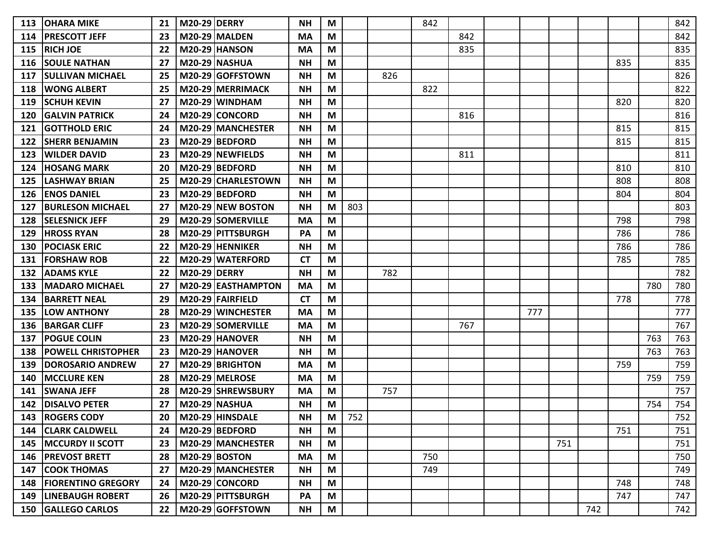| 113 | <b>OHARA MIKE</b>             | 21 | <b>M20-29 DERRY</b> |                           | <b>NH</b> | М |     |     | 842 |     |     |     |     |     |     | 842 |
|-----|-------------------------------|----|---------------------|---------------------------|-----------|---|-----|-----|-----|-----|-----|-----|-----|-----|-----|-----|
| 114 | <b>PRESCOTT JEFF</b>          | 23 |                     | <b>M20-29 MALDEN</b>      | <b>MA</b> | M |     |     |     | 842 |     |     |     |     |     | 842 |
| 115 | <b>RICH JOE</b>               | 22 |                     | <b>M20-29 HANSON</b>      | <b>MA</b> | M |     |     |     | 835 |     |     |     |     |     | 835 |
| 116 | <b>SOULE NATHAN</b>           | 27 |                     | <b>M20-29 NASHUA</b>      | <b>NH</b> | M |     |     |     |     |     |     |     | 835 |     | 835 |
| 117 | <b>SULLIVAN MICHAEL</b>       | 25 |                     | M20-29 GOFFSTOWN          | <b>NH</b> | M |     | 826 |     |     |     |     |     |     |     | 826 |
| 118 | <b>WONG ALBERT</b>            | 25 |                     | M20-29 MERRIMACK          | <b>NH</b> | M |     |     | 822 |     |     |     |     |     |     | 822 |
| 119 | <b>SCHUH KEVIN</b>            | 27 |                     | M20-29 WINDHAM            | <b>NH</b> | M |     |     |     |     |     |     |     | 820 |     | 820 |
| 120 | <b>GALVIN PATRICK</b>         | 24 |                     | M20-29 CONCORD            | <b>NH</b> | M |     |     |     | 816 |     |     |     |     |     | 816 |
| 121 | <b>GOTTHOLD ERIC</b>          | 24 |                     | M20-29 MANCHESTER         | <b>NH</b> | M |     |     |     |     |     |     |     | 815 |     | 815 |
| 122 | <b>SHERR BENJAMIN</b>         | 23 |                     | M20-29 BEDFORD            | <b>NH</b> | M |     |     |     |     |     |     |     | 815 |     | 815 |
| 123 | <b>WILDER DAVID</b>           | 23 |                     | M20-29 NEWFIELDS          | <b>NH</b> | M |     |     |     | 811 |     |     |     |     |     | 811 |
| 124 | <b>HOSANG MARK</b>            | 20 |                     | M20-29 BEDFORD            | <b>NH</b> | M |     |     |     |     |     |     |     | 810 |     | 810 |
| 125 | <b>LASHWAY BRIAN</b>          | 25 |                     | M20-29 CHARLESTOWN        | <b>NH</b> | M |     |     |     |     |     |     |     | 808 |     | 808 |
| 126 | <b>ENOS DANIEL</b>            | 23 |                     | M20-29 BEDFORD            | <b>NH</b> | M |     |     |     |     |     |     |     | 804 |     | 804 |
| 127 | <b>BURLESON MICHAEL</b>       | 27 |                     | <b>M20-29 INEW BOSTON</b> | <b>NH</b> | M | 803 |     |     |     |     |     |     |     |     | 803 |
| 128 | <b>SELESNICK JEFF</b>         | 29 |                     | M20-29 SOMERVILLE         | <b>MA</b> | M |     |     |     |     |     |     |     | 798 |     | 798 |
| 129 | <b>HROSS RYAN</b>             | 28 |                     | M20-29 PITTSBURGH         | PA        | M |     |     |     |     |     |     |     | 786 |     | 786 |
| 130 | <b>POCIASK ERIC</b>           | 22 |                     | M20-29 HENNIKER           | <b>NH</b> | M |     |     |     |     |     |     |     | 786 |     | 786 |
| 131 | <b>FORSHAW ROB</b>            | 22 |                     | M20-29 WATERFORD          | <b>CT</b> | M |     |     |     |     |     |     |     | 785 |     | 785 |
| 132 | <b>ADAMS KYLE</b>             | 22 | <b>M20-29 DERRY</b> |                           | <b>NH</b> | М |     | 782 |     |     |     |     |     |     |     | 782 |
| 133 | <b>MADARO MICHAEL</b>         | 27 |                     | M20-29 EASTHAMPTON        | <b>MA</b> | M |     |     |     |     |     |     |     |     | 780 | 780 |
| 134 | <b>BARRETT NEAL</b>           | 29 |                     | M20-29 FAIRFIELD          | <b>CT</b> | M |     |     |     |     |     |     |     | 778 |     | 778 |
| 135 | <b>LOW ANTHONY</b>            | 28 |                     | M20-29 WINCHESTER         | <b>MA</b> | M |     |     |     |     | 777 |     |     |     |     | 777 |
| 136 | <b>BARGAR CLIFF</b>           | 23 |                     | M20-29 SOMERVILLE         | <b>MA</b> | M |     |     |     | 767 |     |     |     |     |     | 767 |
| 137 | <b>POGUE COLIN</b>            | 23 |                     | M20-29 HANOVER            | <b>NH</b> | M |     |     |     |     |     |     |     |     | 763 | 763 |
| 138 | <b>POWELL CHRISTOPHER</b>     | 23 |                     | M20-29 HANOVER            | <b>NH</b> | M |     |     |     |     |     |     |     |     | 763 | 763 |
| 139 | <b>DOROSARIO ANDREW</b>       | 27 |                     | M20-29 BRIGHTON           | <b>MA</b> | M |     |     |     |     |     |     |     | 759 |     | 759 |
| 140 | <b>MCCLURE KEN</b>            | 28 |                     | M20-29 MELROSE            | <b>MA</b> | M |     |     |     |     |     |     |     |     | 759 | 759 |
| 141 | <b>SWANA JEFF</b>             | 28 |                     | M20-29 SHREWSBURY         | MA        | M |     | 757 |     |     |     |     |     |     |     | 757 |
| 142 | <b>DISALVO PETER</b>          | 27 |                     | <b>M20-29 NASHUA</b>      | <b>NH</b> | M |     |     |     |     |     |     |     |     | 754 | 754 |
| 143 | <b>ROGERS CODY</b>            | 20 |                     | M20-29 HINSDALE           | <b>NH</b> | M | 752 |     |     |     |     |     |     |     |     | 752 |
| 144 | <b>CLARK CALDWELL</b>         | 24 |                     | M20-29 BEDFORD            | <b>NH</b> | M |     |     |     |     |     |     |     | 751 |     | 751 |
|     | 145   MCCURDY II SCOTT        | 23 |                     | M20-29 MANCHESTER         | <b>NH</b> | M |     |     |     |     |     | 751 |     |     |     | 751 |
|     | 146   PREVOST BRETT           | 28 |                     | $M20-29$ BOSTON           | <b>MA</b> | M |     |     | 750 |     |     |     |     |     |     | 750 |
| 147 | <b>COOK THOMAS</b>            | 27 |                     | M20-29 MANCHESTER         | <b>NH</b> | M |     |     | 749 |     |     |     |     |     |     | 749 |
| 148 | <b>FIORENTINO GREGORY</b>     | 24 |                     | M20-29 CONCORD            | <b>NH</b> | M |     |     |     |     |     |     |     | 748 |     | 748 |
|     | <b>149   LINEBAUGH ROBERT</b> | 26 |                     | M20-29 PITTSBURGH         | PA        | M |     |     |     |     |     |     |     | 747 |     | 747 |
|     | 150 GALLEGO CARLOS            | 22 |                     | M20-29 GOFFSTOWN          | <b>NH</b> | M |     |     |     |     |     |     | 742 |     |     | 742 |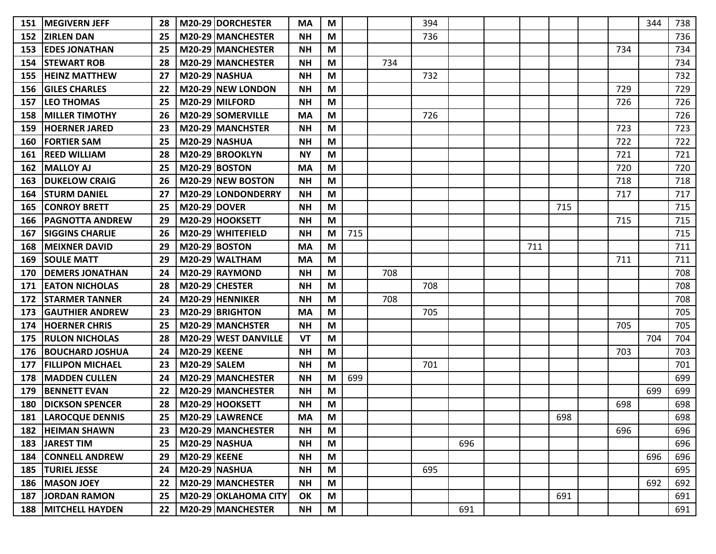| 151 | <b>MEGIVERN JEFF</b>    | 28 |                     | M20-29 DORCHESTER         | MA        | M |     |     | 394 |     |     |     |     | 344 | 738 |
|-----|-------------------------|----|---------------------|---------------------------|-----------|---|-----|-----|-----|-----|-----|-----|-----|-----|-----|
| 152 | <b>ZIRLEN DAN</b>       | 25 |                     | M20-29 MANCHESTER         | <b>NH</b> | M |     |     | 736 |     |     |     |     |     | 736 |
| 153 | <b>EDES JONATHAN</b>    | 25 |                     | M20-29 MANCHESTER         | <b>NH</b> | M |     |     |     |     |     |     | 734 |     | 734 |
| 154 | <b>STEWART ROB</b>      | 28 |                     | M20-29 MANCHESTER         | <b>NH</b> | M |     | 734 |     |     |     |     |     |     | 734 |
| 155 | <b>HEINZ MATTHEW</b>    | 27 |                     | <b>M20-29 NASHUA</b>      | <b>NH</b> | M |     |     | 732 |     |     |     |     |     | 732 |
| 156 | <b>IGILES CHARLES</b>   | 22 |                     | M20-29 NEW LONDON         | <b>NH</b> | M |     |     |     |     |     |     | 729 |     | 729 |
| 157 | <b>LEO THOMAS</b>       | 25 |                     | M20-29 MILFORD            | <b>NH</b> | M |     |     |     |     |     |     | 726 |     | 726 |
| 158 | <b>MILLER TIMOTHY</b>   | 26 |                     | M20-29 SOMERVILLE         | MA        | M |     |     | 726 |     |     |     |     |     | 726 |
| 159 | <b>HOERNER JARED</b>    | 23 |                     | M20-29 MANCHSTER          | <b>NH</b> | M |     |     |     |     |     |     | 723 |     | 723 |
| 160 | <b>FORTIER SAM</b>      | 25 |                     | <b>M20-29 NASHUA</b>      | <b>NH</b> | M |     |     |     |     |     |     | 722 |     | 722 |
| 161 | <b>REED WILLIAM</b>     | 28 |                     | M20-29 BROOKLYN           | <b>NY</b> | M |     |     |     |     |     |     | 721 |     | 721 |
| 162 | <b>MALLOY AJ</b>        | 25 |                     | <b>M20-29 BOSTON</b>      | MA        | M |     |     |     |     |     |     | 720 |     | 720 |
| 163 | <b>DUKELOW CRAIG</b>    | 26 |                     | M20-29 NEW BOSTON         | <b>NH</b> | M |     |     |     |     |     |     | 718 |     | 718 |
| 164 | <b>STURM DANIEL</b>     | 27 |                     | <b>M20-29 LONDONDERRY</b> | <b>NH</b> | M |     |     |     |     |     |     | 717 |     | 717 |
| 165 | <b>CONROY BRETT</b>     | 25 | <b>M20-29 DOVER</b> |                           | <b>NH</b> | M |     |     |     |     |     | 715 |     |     | 715 |
| 166 | <b>PAGNOTTA ANDREW</b>  | 29 |                     | M20-29 HOOKSETT           | <b>NH</b> | M |     |     |     |     |     |     | 715 |     | 715 |
| 167 | <b>SIGGINS CHARLIE</b>  | 26 |                     | M20-29 WHITEFIELD         | <b>NH</b> | M | 715 |     |     |     |     |     |     |     | 715 |
| 168 | <b>MEIXNER DAVID</b>    | 29 |                     | <b>M20-29 BOSTON</b>      | <b>MA</b> | M |     |     |     |     | 711 |     |     |     | 711 |
| 169 | <b>SOULE MATT</b>       | 29 |                     | M20-29 WALTHAM            | <b>MA</b> | M |     |     |     |     |     |     | 711 |     | 711 |
| 170 | <b>DEMERS JONATHAN</b>  | 24 |                     | M20-29 RAYMOND            | <b>NH</b> | M |     | 708 |     |     |     |     |     |     | 708 |
| 171 | <b>EATON NICHOLAS</b>   | 28 |                     | M20-29 CHESTER            | <b>NH</b> | M |     |     | 708 |     |     |     |     |     | 708 |
| 172 | <b>STARMER TANNER</b>   | 24 |                     | M20-29 HENNIKER           | <b>NH</b> | M |     | 708 |     |     |     |     |     |     | 708 |
| 173 | <b>GAUTHIER ANDREW</b>  | 23 |                     | M20-29 BRIGHTON           | <b>MA</b> | M |     |     | 705 |     |     |     |     |     | 705 |
| 174 | <b>HOERNER CHRIS</b>    | 25 |                     | M20-29 MANCHSTER          | <b>NH</b> | M |     |     |     |     |     |     | 705 |     | 705 |
| 175 | <b>RULON NICHOLAS</b>   | 28 |                     | M20-29 WEST DANVILLE      | VT        | M |     |     |     |     |     |     |     | 704 | 704 |
| 176 | <b>BOUCHARD JOSHUA</b>  | 24 | <b>M20-29 KEENE</b> |                           | <b>NH</b> | M |     |     |     |     |     |     | 703 |     | 703 |
| 177 | <b>FILLIPON MICHAEL</b> | 23 | <b>M20-29 SALEM</b> |                           | <b>NH</b> | M |     |     | 701 |     |     |     |     |     | 701 |
| 178 | <b>IMADDEN CULLEN</b>   | 24 |                     | M20-29 MANCHESTER         | <b>NH</b> | M | 699 |     |     |     |     |     |     |     | 699 |
| 179 | <b>BENNETT EVAN</b>     | 22 |                     | M20-29 MANCHESTER         | <b>NH</b> | M |     |     |     |     |     |     |     | 699 | 699 |
| 180 | <b>DICKSON SPENCER</b>  | 28 |                     | M20-29 HOOKSETT           | <b>NH</b> | M |     |     |     |     |     |     | 698 |     | 698 |
| 181 | <b>LAROCQUE DENNIS</b>  | 25 |                     | M20-29 LAWRENCE           | MA        | M |     |     |     |     |     | 698 |     |     | 698 |
| 182 | <b>HEIMAN SHAWN</b>     | 23 |                     | M20-29 MANCHESTER         | <b>NH</b> | M |     |     |     |     |     |     | 696 |     | 696 |
| 183 | <b>JAREST TIM</b>       | 25 |                     | <b>M20-29 NASHUA</b>      | <b>NH</b> | M |     |     |     | 696 |     |     |     |     | 696 |
| 184 | <b>CONNELL ANDREW</b>   | 29 | <b>M20-29 KEENE</b> |                           | <b>NH</b> | M |     |     |     |     |     |     |     | 696 | 696 |
| 185 | <b>TURIEL JESSE</b>     | 24 |                     | <b>M20-29 NASHUA</b>      | <b>NH</b> | M |     |     | 695 |     |     |     |     |     | 695 |
| 186 | <b>MASON JOEY</b>       | 22 |                     | M20-29 MANCHESTER         | <b>NH</b> | M |     |     |     |     |     |     |     | 692 | 692 |
|     | 187 JORDAN RAMON        | 25 |                     | M20-29 OKLAHOMA CITY      | OK        | M |     |     |     |     |     | 691 |     |     | 691 |
|     | 188   MITCHELL HAYDEN   | 22 |                     | M20-29 MANCHESTER         | <b>NH</b> | M |     |     |     | 691 |     |     |     |     | 691 |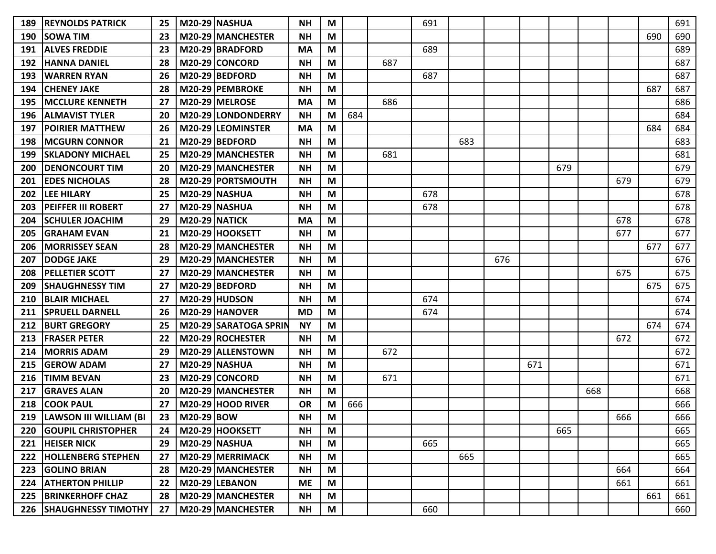| 189 | <b>REYNOLDS PATRICK</b>    | 25 |                      | <b>M20-29 NASHUA</b>     | <b>NH</b> | M |     |     | 691 |     |     |     |     |     |     |     | 691 |
|-----|----------------------------|----|----------------------|--------------------------|-----------|---|-----|-----|-----|-----|-----|-----|-----|-----|-----|-----|-----|
| 190 | <b>SOWA TIM</b>            | 23 |                      | <b>M20-29 MANCHESTER</b> | <b>NH</b> | M |     |     |     |     |     |     |     |     |     | 690 | 690 |
| 191 | <b>ALVES FREDDIE</b>       | 23 |                      | M20-29 BRADFORD          | MA        | M |     |     | 689 |     |     |     |     |     |     |     | 689 |
| 192 | <b>HANNA DANIEL</b>        | 28 |                      | M20-29 CONCORD           | <b>NH</b> | M |     | 687 |     |     |     |     |     |     |     |     | 687 |
| 193 | <b>WARREN RYAN</b>         | 26 |                      | M20-29 BEDFORD           | <b>NH</b> | M |     |     | 687 |     |     |     |     |     |     |     | 687 |
| 194 | <b>CHENEY JAKE</b>         | 28 |                      | M20-29 PEMBROKE          | <b>NH</b> | M |     |     |     |     |     |     |     |     |     | 687 | 687 |
| 195 | <b>IMCCLURE KENNETH</b>    | 27 |                      | M20-29 MELROSE           | <b>MA</b> | M |     | 686 |     |     |     |     |     |     |     |     | 686 |
| 196 | <b>ALMAVIST TYLER</b>      | 20 |                      | M20-29 LONDONDERRY       | <b>NH</b> | M | 684 |     |     |     |     |     |     |     |     |     | 684 |
| 197 | <b>POIRIER MATTHEW</b>     | 26 |                      | M20-29 LEOMINSTER        | MA        | M |     |     |     |     |     |     |     |     |     | 684 | 684 |
| 198 | <b>MCGURN CONNOR</b>       | 21 |                      | M20-29 BEDFORD           | <b>NH</b> | M |     |     |     | 683 |     |     |     |     |     |     | 683 |
| 199 | <b>SKLADONY MICHAEL</b>    | 25 |                      | M20-29 MANCHESTER        | <b>NH</b> | M |     | 681 |     |     |     |     |     |     |     |     | 681 |
| 200 | <b>DENONCOURT TIM</b>      | 20 |                      | M20-29 MANCHESTER        | <b>NH</b> | M |     |     |     |     |     |     | 679 |     |     |     | 679 |
| 201 | <b>EDES NICHOLAS</b>       | 28 |                      | <b>M20-29 PORTSMOUTH</b> | <b>NH</b> | M |     |     |     |     |     |     |     |     | 679 |     | 679 |
| 202 | <b>LEE HILARY</b>          | 25 |                      | M20-29 NASHUA            | <b>NH</b> | M |     |     | 678 |     |     |     |     |     |     |     | 678 |
| 203 | <b>IPEIFFER III ROBERT</b> | 27 |                      | <b>M20-29 NASHUA</b>     | <b>NH</b> | M |     |     | 678 |     |     |     |     |     |     |     | 678 |
| 204 | <b>SCHULER JOACHIM</b>     | 29 | <b>M20-29 NATICK</b> |                          | <b>MA</b> | M |     |     |     |     |     |     |     |     | 678 |     | 678 |
| 205 | <b>GRAHAM EVAN</b>         | 21 |                      | M20-29 HOOKSETT          | <b>NH</b> | M |     |     |     |     |     |     |     |     | 677 |     | 677 |
| 206 | <b>MORRISSEY SEAN</b>      | 28 |                      | M20-29 MANCHESTER        | <b>NH</b> | M |     |     |     |     |     |     |     |     |     | 677 | 677 |
| 207 | <b>DODGE JAKE</b>          | 29 |                      | M20-29 MANCHESTER        | <b>NH</b> | M |     |     |     |     | 676 |     |     |     |     |     | 676 |
| 208 | <b>PELLETIER SCOTT</b>     | 27 |                      | M20-29 MANCHESTER        | <b>NH</b> | M |     |     |     |     |     |     |     |     | 675 |     | 675 |
| 209 | <b>SHAUGHNESSY TIM</b>     | 27 |                      | M20-29 BEDFORD           | <b>NH</b> | M |     |     |     |     |     |     |     |     |     | 675 | 675 |
| 210 | <b>BLAIR MICHAEL</b>       | 27 |                      | M20-29 HUDSON            | <b>NH</b> | M |     |     | 674 |     |     |     |     |     |     |     | 674 |
| 211 | <b>SPRUELL DARNELL</b>     | 26 |                      | M20-29 HANOVER           | <b>MD</b> | M |     |     | 674 |     |     |     |     |     |     |     | 674 |
| 212 | <b>BURT GREGORY</b>        | 25 |                      | M20-29 SARATOGA SPRIN    | <b>NY</b> | M |     |     |     |     |     |     |     |     |     | 674 | 674 |
| 213 | <b>FRASER PETER</b>        | 22 |                      | M20-29 ROCHESTER         | <b>NH</b> | M |     |     |     |     |     |     |     |     | 672 |     | 672 |
| 214 | <b>MORRIS ADAM</b>         | 29 |                      | M20-29 ALLENSTOWN        | <b>NH</b> | M |     | 672 |     |     |     |     |     |     |     |     | 672 |
| 215 | <b>GEROW ADAM</b>          | 27 |                      | <b>M20-29 NASHUA</b>     | <b>NH</b> | M |     |     |     |     |     | 671 |     |     |     |     | 671 |
| 216 | <b>TIMM BEVAN</b>          | 23 |                      | M20-29 CONCORD           | <b>NH</b> | M |     | 671 |     |     |     |     |     |     |     |     | 671 |
| 217 | <b>GRAVES ALAN</b>         | 20 |                      | M20-29 MANCHESTER        | <b>NH</b> | M |     |     |     |     |     |     |     | 668 |     |     | 668 |
| 218 | <b>COOK PAUL</b>           | 27 |                      | M20-29 HOOD RIVER        | <b>OR</b> | M | 666 |     |     |     |     |     |     |     |     |     | 666 |
| 219 | LAWSON III WILLIAM (BI     | 23 | M20-29 BOW           |                          | <b>NH</b> | M |     |     |     |     |     |     |     |     | 666 |     | 666 |
| 220 | <b>GOUPIL CHRISTOPHER</b>  | 24 |                      | M20-29 HOOKSETT          | <b>NH</b> | M |     |     |     |     |     |     | 665 |     |     |     | 665 |
| 221 | <b>HEISER NICK</b>         | 29 |                      | <b>M20-29 NASHUA</b>     | <b>NH</b> | M |     |     | 665 |     |     |     |     |     |     |     | 665 |
| 222 | <b>HOLLENBERG STEPHEN</b>  | 27 |                      | M20-29 MERRIMACK         | <b>NH</b> | M |     |     |     | 665 |     |     |     |     |     |     | 665 |
| 223 | <b>GOLINO BRIAN</b>        | 28 |                      | M20-29 MANCHESTER        | <b>NH</b> | M |     |     |     |     |     |     |     |     | 664 |     | 664 |
| 224 | <b>ATHERTON PHILLIP</b>    | 22 |                      | M20-29 LEBANON           | <b>ME</b> | M |     |     |     |     |     |     |     |     | 661 |     | 661 |
|     | 225   BRINKERHOFF CHAZ     | 28 |                      | M20-29 MANCHESTER        | <b>NH</b> | M |     |     |     |     |     |     |     |     |     | 661 | 661 |
|     | 226   SHAUGHNESSY TIMOTHY  | 27 |                      | M20-29 MANCHESTER        | <b>NH</b> | M |     |     | 660 |     |     |     |     |     |     |     | 660 |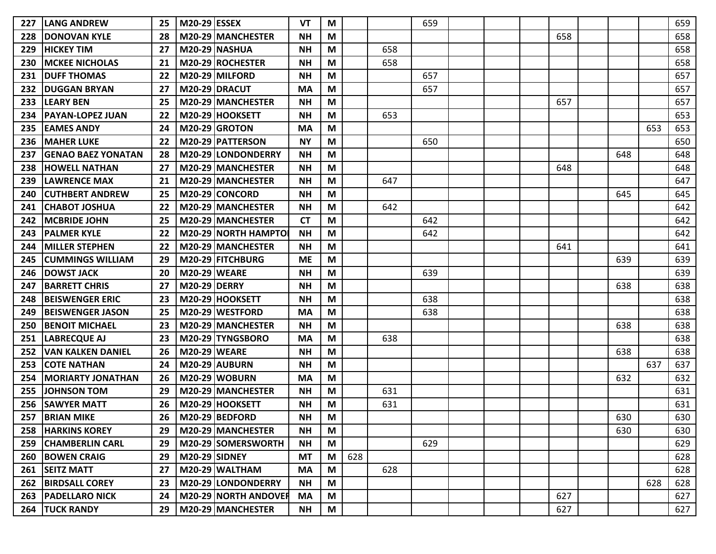| 227 | <b>LANG ANDREW</b>          | 25 | <b>M20-29 ESSEX</b>  |                             | <b>VT</b> | М |     |     | 659 |  |     |     |     | 659 |
|-----|-----------------------------|----|----------------------|-----------------------------|-----------|---|-----|-----|-----|--|-----|-----|-----|-----|
| 228 | <b>DONOVAN KYLE</b>         | 28 |                      | M20-29 MANCHESTER           | <b>NH</b> | M |     |     |     |  | 658 |     |     | 658 |
| 229 | <b>HICKEY TIM</b>           | 27 |                      | <b>M20-29 NASHUA</b>        | <b>NH</b> | M |     | 658 |     |  |     |     |     | 658 |
| 230 | <b>MCKEE NICHOLAS</b>       | 21 |                      | M20-29 ROCHESTER            | <b>NH</b> | M |     | 658 |     |  |     |     |     | 658 |
| 231 | <b>DUFF THOMAS</b>          | 22 |                      | M20-29 MILFORD              | <b>NH</b> | M |     |     | 657 |  |     |     |     | 657 |
| 232 | <b>DUGGAN BRYAN</b>         | 27 |                      | M20-29 DRACUT               | <b>MA</b> | M |     |     | 657 |  |     |     |     | 657 |
| 233 | <b>LEARY BEN</b>            | 25 |                      | M20-29 MANCHESTER           | <b>NH</b> | M |     |     |     |  | 657 |     |     | 657 |
| 234 | <b>PAYAN-LOPEZ JUAN</b>     | 22 |                      | M20-29 HOOKSETT             | <b>NH</b> | M |     | 653 |     |  |     |     |     | 653 |
| 235 | <b>EAMES ANDY</b>           | 24 |                      | M20-29 GROTON               | <b>MA</b> | M |     |     |     |  |     |     | 653 | 653 |
| 236 | <b>MAHER LUKE</b>           | 22 |                      | M20-29   PATTERSON          | <b>NY</b> | M |     |     | 650 |  |     |     |     | 650 |
| 237 | <b>GENAO BAEZ YONATAN</b>   | 28 |                      | M20-29 LONDONDERRY          | <b>NH</b> | M |     |     |     |  |     | 648 |     | 648 |
| 238 | <b>HOWELL NATHAN</b>        | 27 |                      | M20-29 MANCHESTER           | <b>NH</b> | M |     |     |     |  | 648 |     |     | 648 |
| 239 | <b>LAWRENCE MAX</b>         | 21 |                      | M20-29 MANCHESTER           | <b>NH</b> | M |     | 647 |     |  |     |     |     | 647 |
| 240 | <b>CUTHBERT ANDREW</b>      | 25 |                      | M20-29 CONCORD              | <b>NH</b> | M |     |     |     |  |     | 645 |     | 645 |
| 241 | <b>CHABOT JOSHUA</b>        | 22 |                      | M20-29 MANCHESTER           | <b>NH</b> | M |     | 642 |     |  |     |     |     | 642 |
| 242 | <b>MCBRIDE JOHN</b>         | 25 |                      | M20-29 MANCHESTER           | <b>CT</b> | M |     |     | 642 |  |     |     |     | 642 |
| 243 | <b>PALMER KYLE</b>          | 22 |                      | M20-29 NORTH HAMPTO         | <b>NH</b> | M |     |     | 642 |  |     |     |     | 642 |
| 244 | <b>MILLER STEPHEN</b>       | 22 |                      | M20-29 MANCHESTER           | <b>NH</b> | M |     |     |     |  | 641 |     |     | 641 |
| 245 | <b>CUMMINGS WILLIAM</b>     | 29 |                      | M20-29 FITCHBURG            | <b>ME</b> | M |     |     |     |  |     | 639 |     | 639 |
| 246 | <b>DOWST JACK</b>           | 20 | <b>M20-29 WEARE</b>  |                             | <b>NH</b> | М |     |     | 639 |  |     |     |     | 639 |
| 247 | <b>BARRETT CHRIS</b>        | 27 | <b>M20-29 DERRY</b>  |                             | <b>NH</b> | M |     |     |     |  |     | 638 |     | 638 |
| 248 | <b>BEISWENGER ERIC</b>      | 23 |                      | M20-29 HOOKSETT             | <b>NH</b> | M |     |     | 638 |  |     |     |     | 638 |
| 249 | <b>BEISWENGER JASON</b>     | 25 |                      | M20-29 WESTFORD             | <b>MA</b> | M |     |     | 638 |  |     |     |     | 638 |
| 250 | <b>BENOIT MICHAEL</b>       | 23 |                      | M20-29 MANCHESTER           | <b>NH</b> | M |     |     |     |  |     | 638 |     | 638 |
| 251 | <b>LABRECQUE AJ</b>         | 23 |                      | M20-29 TYNGSBORO            | <b>MA</b> | M |     | 638 |     |  |     |     |     | 638 |
| 252 | <b>VAN KALKEN DANIEL</b>    | 26 | <b>M20-29 WEARE</b>  |                             | <b>NH</b> | M |     |     |     |  |     | 638 |     | 638 |
| 253 | <b>COTE NATHAN</b>          | 24 |                      | M20-29 AUBURN               | <b>NH</b> | M |     |     |     |  |     |     | 637 | 637 |
| 254 | <b>MORIARTY JONATHAN</b>    | 26 |                      | M20-29 WOBURN               | <b>MA</b> | M |     |     |     |  |     | 632 |     | 632 |
| 255 | <b>JOHNSON TOM</b>          | 29 |                      | M20-29 MANCHESTER           | <b>NH</b> | M |     | 631 |     |  |     |     |     | 631 |
| 256 | <b>SAWYER MATT</b>          | 26 |                      | M20-29 HOOKSETT             | <b>NH</b> | M |     | 631 |     |  |     |     |     | 631 |
| 257 | <b>BRIAN MIKE</b>           | 26 |                      | M20-29 BEDFORD              | <b>NH</b> | M |     |     |     |  |     | 630 |     | 630 |
|     | 258   HARKINS KOREY         | 29 |                      | M20-29 MANCHESTER           | <b>NH</b> | M |     |     |     |  |     | 630 |     | 630 |
|     | 259 CHAMBERLIN CARL         | 29 |                      | M20-29 SOMERSWORTH          | <b>NH</b> | M |     |     | 629 |  |     |     |     | 629 |
| 260 | <b>BOWEN CRAIG</b>          | 29 | <b>M20-29 SIDNEY</b> |                             | <b>MT</b> | M | 628 |     |     |  |     |     |     | 628 |
| 261 | <b>SEITZ MATT</b>           | 27 |                      | $M20-29$ WALTHAM            | <b>MA</b> | M |     | 628 |     |  |     |     |     | 628 |
| 262 | <b>BIRDSALL COREY</b>       | 23 |                      | M20-29 LONDONDERRY          | <b>NH</b> | M |     |     |     |  |     |     | 628 | 628 |
|     | <b>263   PADELLARO NICK</b> | 24 |                      | <b>M20-29 NORTH ANDOVER</b> | <b>MA</b> | M |     |     |     |  | 627 |     |     | 627 |
|     | <b>264 TUCK RANDY</b>       | 29 |                      | M20-29 MANCHESTER           | <b>NH</b> | M |     |     |     |  | 627 |     |     | 627 |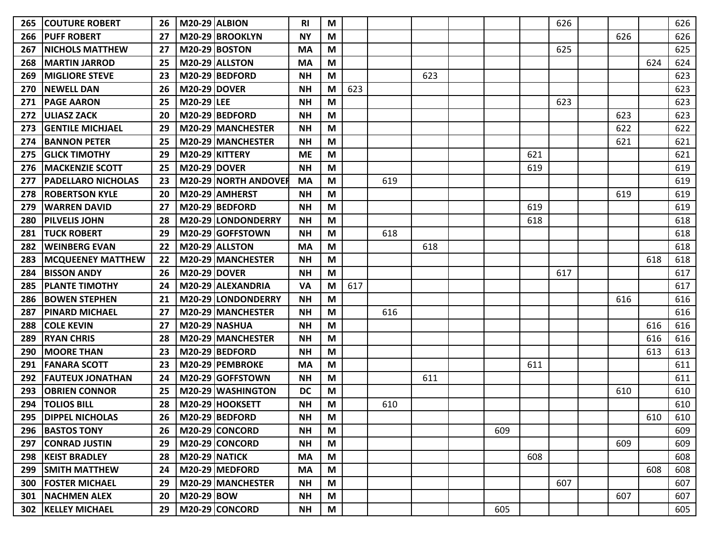| 265 | <b>COUTURE ROBERT</b>       | 26 | <b>M20-29 ALBION</b> |                             | <b>RI</b> | M |     |     |     |     |     | 626 |     |     | 626 |
|-----|-----------------------------|----|----------------------|-----------------------------|-----------|---|-----|-----|-----|-----|-----|-----|-----|-----|-----|
| 266 | <b>PUFF ROBERT</b>          | 27 |                      | M20-29 BROOKLYN             | <b>NY</b> | M |     |     |     |     |     |     | 626 |     | 626 |
| 267 | <b>NICHOLS MATTHEW</b>      | 27 |                      | <b>M20-29 BOSTON</b>        | <b>MA</b> | M |     |     |     |     |     | 625 |     |     | 625 |
| 268 | <b>MARTIN JARROD</b>        | 25 |                      | M20-29 ALLSTON              | <b>MA</b> | M |     |     |     |     |     |     |     | 624 | 624 |
| 269 | <b>MIGLIORE STEVE</b>       | 23 |                      | M20-29 BEDFORD              | <b>NH</b> | M |     |     | 623 |     |     |     |     |     | 623 |
| 270 | <b>NEWELL DAN</b>           | 26 | <b>M20-29 DOVER</b>  |                             | <b>NH</b> | M | 623 |     |     |     |     |     |     |     | 623 |
| 271 | <b>PAGE AARON</b>           | 25 | <b>M20-29 LEE</b>    |                             | <b>NH</b> | M |     |     |     |     |     | 623 |     |     | 623 |
| 272 | <b>ULIASZ ZACK</b>          | 20 |                      | M20-29 BEDFORD              | <b>NH</b> | M |     |     |     |     |     |     | 623 |     | 623 |
| 273 | <b>GENTILE MICHJAEL</b>     | 29 |                      | M20-29 MANCHESTER           | <b>NH</b> | M |     |     |     |     |     |     | 622 |     | 622 |
| 274 | <b>BANNON PETER</b>         | 25 |                      | M20-29 MANCHESTER           | <b>NH</b> | M |     |     |     |     |     |     | 621 |     | 621 |
| 275 | <b>GLICK TIMOTHY</b>        | 29 | M20-29 KITTERY       |                             | <b>ME</b> | M |     |     |     |     | 621 |     |     |     | 621 |
| 276 | <b>MACKENZIE SCOTT</b>      | 25 | <b>M20-29 DOVER</b>  |                             | <b>NH</b> | M |     |     |     |     | 619 |     |     |     | 619 |
| 277 | <b>PADELLARO NICHOLAS</b>   | 23 |                      | <b>M20-29 NORTH ANDOVER</b> | <b>MA</b> | М |     | 619 |     |     |     |     |     |     | 619 |
| 278 | <b>ROBERTSON KYLE</b>       | 20 |                      | M20-29 AMHERST              | <b>NH</b> | M |     |     |     |     |     |     | 619 |     | 619 |
| 279 | <b>WARREN DAVID</b>         | 27 |                      | M20-29 BEDFORD              | <b>NH</b> | M |     |     |     |     | 619 |     |     |     | 619 |
| 280 | <b>PILVELIS JOHN</b>        | 28 |                      | M20-29 LONDONDERRY          | <b>NH</b> | M |     |     |     |     | 618 |     |     |     | 618 |
| 281 | <b>TUCK ROBERT</b>          | 29 |                      | M20-29 GOFFSTOWN            | <b>NH</b> | M |     | 618 |     |     |     |     |     |     | 618 |
| 282 | <b>WEINBERG EVAN</b>        | 22 |                      | M20-29 ALLSTON              | <b>MA</b> | M |     |     | 618 |     |     |     |     |     | 618 |
| 283 | <b>MCQUEENEY MATTHEW</b>    | 22 |                      | M20-29 MANCHESTER           | <b>NH</b> | M |     |     |     |     |     |     |     | 618 | 618 |
| 284 | <b>BISSON ANDY</b>          | 26 | M20-29 DOVER         |                             | <b>NH</b> | M |     |     |     |     |     | 617 |     |     | 617 |
| 285 | <b>PLANTE TIMOTHY</b>       | 24 |                      | M20-29 ALEXANDRIA           | <b>VA</b> | M | 617 |     |     |     |     |     |     |     | 617 |
| 286 | <b>BOWEN STEPHEN</b>        | 21 |                      | M20-29 LONDONDERRY          | <b>NH</b> | M |     |     |     |     |     |     | 616 |     | 616 |
| 287 | <b>PINARD MICHAEL</b>       | 27 |                      | M20-29 MANCHESTER           | <b>NH</b> | M |     | 616 |     |     |     |     |     |     | 616 |
| 288 | <b>COLE KEVIN</b>           | 27 |                      | M20-29 NASHUA               | <b>NH</b> | M |     |     |     |     |     |     |     | 616 | 616 |
| 289 | <b>RYAN CHRIS</b>           | 28 |                      | M20-29 MANCHESTER           | <b>NH</b> | M |     |     |     |     |     |     |     | 616 | 616 |
| 290 | <b>MOORE THAN</b>           | 23 |                      | M20-29 BEDFORD              | <b>NH</b> | M |     |     |     |     |     |     |     | 613 | 613 |
| 291 | <b>FANARA SCOTT</b>         | 23 |                      | M20-29 PEMBROKE             | <b>MA</b> | M |     |     |     |     | 611 |     |     |     | 611 |
| 292 | <b>FAUTEUX JONATHAN</b>     | 24 |                      | M20-29 GOFFSTOWN            | <b>NH</b> | M |     |     | 611 |     |     |     |     |     | 611 |
| 293 | <b>OBRIEN CONNOR</b>        | 25 |                      | M20-29 WASHINGTON           | <b>DC</b> | M |     |     |     |     |     |     | 610 |     | 610 |
| 294 | <b>TOLIOS BILL</b>          | 28 |                      | M20-29 HOOKSETT             | <b>NH</b> | M |     | 610 |     |     |     |     |     |     | 610 |
| 295 | <b>DIPPEL NICHOLAS</b>      | 26 |                      | M20-29 BEDFORD              | <b>NH</b> | M |     |     |     |     |     |     |     | 610 | 610 |
| 296 | <b>BASTOS TONY</b>          | 26 |                      | M20-29 CONCORD              | ΝH        | M |     |     |     | 609 |     |     |     |     | 609 |
| 297 | <b>CONRAD JUSTIN</b>        | 29 |                      | M20-29 CONCORD              | <b>NH</b> | M |     |     |     |     |     |     | 609 |     | 609 |
| 298 | <b>KEIST BRADLEY</b>        | 28 | <b>M20-29 NATICK</b> |                             | <b>MA</b> | M |     |     |     |     | 608 |     |     |     | 608 |
| 299 | <b>SMITH MATTHEW</b>        | 24 |                      | M20-29 MEDFORD              | <b>MA</b> | M |     |     |     |     |     |     |     | 608 | 608 |
| 300 | <b>FOSTER MICHAEL</b>       | 29 |                      | M20-29 MANCHESTER           | <b>NH</b> | M |     |     |     |     |     | 607 |     |     | 607 |
| 301 | <b>NACHMEN ALEX</b>         | 20 | M20-29 BOW           |                             | <b>NH</b> | M |     |     |     |     |     |     | 607 |     | 607 |
|     | <b>302   KELLEY MICHAEL</b> | 29 |                      | M20-29 CONCORD              | <b>NH</b> | M |     |     |     | 605 |     |     |     |     | 605 |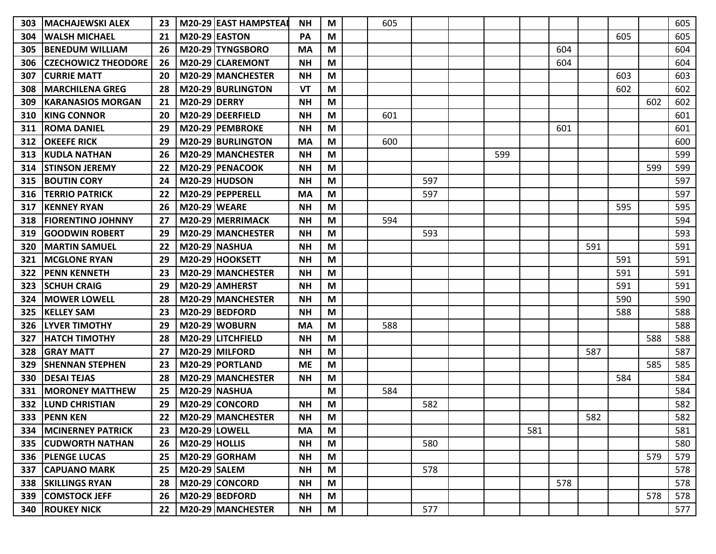| 303 | <b>MACHAJEWSKI ALEX</b>        | 23 |                      | M20-29 EAST HAMPSTEAI    | <b>NH</b> | M | 605 |     |     |     |     |     |     |     | 605 |
|-----|--------------------------------|----|----------------------|--------------------------|-----------|---|-----|-----|-----|-----|-----|-----|-----|-----|-----|
| 304 | <b>WALSH MICHAEL</b>           | 21 | <b>M20-29 EASTON</b> |                          | PA        | M |     |     |     |     |     |     | 605 |     | 605 |
| 305 | <b>BENEDUM WILLIAM</b>         | 26 |                      | M20-29 TYNGSBORO         | <b>MA</b> | M |     |     |     |     | 604 |     |     |     | 604 |
| 306 | <b>CZECHOWICZ THEODORE</b>     | 26 |                      | M20-29 CLAREMONT         | <b>NH</b> | M |     |     |     |     | 604 |     |     |     | 604 |
| 307 | <b>CURRIE MATT</b>             | 20 |                      | M20-29 MANCHESTER        | <b>NH</b> | M |     |     |     |     |     |     | 603 |     | 603 |
| 308 | IMARCHILENA GREG               | 28 |                      | M20-29 BURLINGTON        | VT        | M |     |     |     |     |     |     | 602 |     | 602 |
| 309 | <b>KARANASIOS MORGAN</b>       | 21 | <b>M20-29 DERRY</b>  |                          | <b>NH</b> | M |     |     |     |     |     |     |     | 602 | 602 |
| 310 | <b>KING CONNOR</b>             | 20 |                      | M20-29 DEERFIELD         | <b>NH</b> | M | 601 |     |     |     |     |     |     |     | 601 |
| 311 | <b>ROMA DANIEL</b>             | 29 |                      | M20-29 PEMBROKE          | <b>NH</b> | M |     |     |     |     | 601 |     |     |     | 601 |
| 312 | <b>OKEEFE RICK</b>             | 29 |                      | <b>M20-29 BURLINGTON</b> | MA        | M | 600 |     |     |     |     |     |     |     | 600 |
| 313 | <b>KUDLA NATHAN</b>            | 26 |                      | M20-29 MANCHESTER        | <b>NH</b> | M |     |     | 599 |     |     |     |     |     | 599 |
| 314 | <b>STINSON JEREMY</b>          | 22 |                      | M20-29 PENACOOK          | <b>NH</b> | M |     |     |     |     |     |     |     | 599 | 599 |
| 315 | <b>BOUTIN CORY</b>             | 24 |                      | <b>M20-29 HUDSON</b>     | <b>NH</b> | M |     | 597 |     |     |     |     |     |     | 597 |
| 316 | <b>TERRIO PATRICK</b>          | 22 |                      | M20-29 PEPPERELL         | MA        | M |     | 597 |     |     |     |     |     |     | 597 |
| 317 | <b>KENNEY RYAN</b>             | 26 | <b>M20-29 WEARE</b>  |                          | <b>NH</b> | M |     |     |     |     |     |     | 595 |     | 595 |
| 318 | <b>FIORENTINO JOHNNY</b>       | 27 |                      | M20-29 MERRIMACK         | <b>NH</b> | M | 594 |     |     |     |     |     |     |     | 594 |
| 319 | <b>GOODWIN ROBERT</b>          | 29 |                      | M20-29 MANCHESTER        | <b>NH</b> | M |     | 593 |     |     |     |     |     |     | 593 |
| 320 | <b>MARTIN SAMUEL</b>           | 22 |                      | <b>M20-29 NASHUA</b>     | <b>NH</b> | M |     |     |     |     |     | 591 |     |     | 591 |
| 321 | <b>MCGLONE RYAN</b>            | 29 |                      | M20-29 HOOKSETT          | <b>NH</b> | M |     |     |     |     |     |     | 591 |     | 591 |
| 322 | <b>PENN KENNETH</b>            | 23 |                      | M20-29 MANCHESTER        | <b>NH</b> | M |     |     |     |     |     |     | 591 |     | 591 |
| 323 | <b>SCHUH CRAIG</b>             | 29 |                      | M20-29 AMHERST           | <b>NH</b> | M |     |     |     |     |     |     | 591 |     | 591 |
| 324 | <b>MOWER LOWELL</b>            | 28 |                      | M20-29 MANCHESTER        | <b>NH</b> | M |     |     |     |     |     |     | 590 |     | 590 |
| 325 | <b>KELLEY SAM</b>              | 23 |                      | M20-29 BEDFORD           | <b>NH</b> | M |     |     |     |     |     |     | 588 |     | 588 |
| 326 | <b>LYVER TIMOTHY</b>           | 29 |                      | M20-29 WOBURN            | MA        | M | 588 |     |     |     |     |     |     |     | 588 |
| 327 | <b>HATCH TIMOTHY</b>           | 28 |                      | M20-29 LITCHFIELD        | NΗ        | M |     |     |     |     |     |     |     | 588 | 588 |
| 328 | <b>GRAY MATT</b>               | 27 |                      | M20-29 MILFORD           | <b>NH</b> | M |     |     |     |     |     | 587 |     |     | 587 |
| 329 | <b>SHENNAN STEPHEN</b>         | 23 |                      | M20-29 PORTLAND          | <b>ME</b> | M |     |     |     |     |     |     |     | 585 | 585 |
| 330 | <b>DESAI TEJAS</b>             | 28 |                      | M20-29 MANCHESTER        | <b>NH</b> | M |     |     |     |     |     |     | 584 |     | 584 |
| 331 | <b>MORONEY MATTHEW</b>         | 25 |                      | M20-29 NASHUA            |           | M | 584 |     |     |     |     |     |     |     | 584 |
| 332 | <b>LUND CHRISTIAN</b>          | 29 |                      | M20-29 CONCORD           | <b>NH</b> | M |     | 582 |     |     |     |     |     |     | 582 |
| 333 | <b>PENN KEN</b>                | 22 |                      | M20-29 MANCHESTER        | <b>NH</b> | M |     |     |     |     |     | 582 |     |     | 582 |
|     | <b>334   MCINERNEY PATRICK</b> | 23 | <b>M20-29 LOWELL</b> |                          | MA        | M |     |     |     | 581 |     |     |     |     | 581 |
|     | 335   CUDWORTH NATHAN          | 26 | $M20-29$ HOLLIS      |                          | <b>NH</b> | M |     | 580 |     |     |     |     |     |     | 580 |
|     | 336   PLENGE LUCAS             | 25 |                      | $M20-29$ GORHAM          | <b>NH</b> | M |     |     |     |     |     |     |     | 579 | 579 |
| 337 | <b>CAPUANO MARK</b>            | 25 | M20-29 SALEM         |                          | <b>NH</b> | M |     | 578 |     |     |     |     |     |     | 578 |
| 338 | <b>SKILLINGS RYAN</b>          | 28 |                      | M20-29 CONCORD           | <b>NH</b> | M |     |     |     |     | 578 |     |     |     | 578 |
| 339 | <b>COMSTOCK JEFF</b>           | 26 |                      | M20-29 BEDFORD           | <b>NH</b> | M |     |     |     |     |     |     |     | 578 | 578 |
|     | <b>340 ROUKEY NICK</b>         | 22 |                      | M20-29 MANCHESTER        | <b>NH</b> | M |     | 577 |     |     |     |     |     |     | 577 |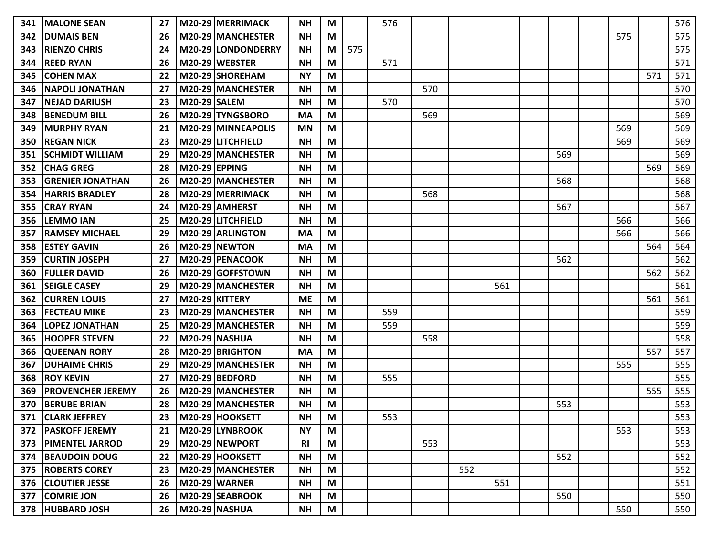| 341 | <b>MALONE SEAN</b>       | 27 |                      | M20-29 MERRIMACK     | <b>NH</b> | M |     | 576 |     |     |     |     |     |     | 576 |
|-----|--------------------------|----|----------------------|----------------------|-----------|---|-----|-----|-----|-----|-----|-----|-----|-----|-----|
| 342 | <b>DUMAIS BEN</b>        | 26 |                      | M20-29 MANCHESTER    | <b>NH</b> | M |     |     |     |     |     |     | 575 |     | 575 |
| 343 | <b>RIENZO CHRIS</b>      | 24 |                      | M20-29 LONDONDERRY   | <b>NH</b> | M | 575 |     |     |     |     |     |     |     | 575 |
| 344 | <b>REED RYAN</b>         | 26 |                      | M20-29 WEBSTER       | <b>NH</b> | M |     | 571 |     |     |     |     |     |     | 571 |
| 345 | <b>COHEN MAX</b>         | 22 |                      | M20-29 SHOREHAM      | <b>NY</b> | M |     |     |     |     |     |     |     | 571 | 571 |
| 346 | <b>NAPOLI JONATHAN</b>   | 27 |                      | M20-29 MANCHESTER    | <b>NH</b> | M |     |     | 570 |     |     |     |     |     | 570 |
| 347 | <b>NEJAD DARIUSH</b>     | 23 | <b>M20-29 SALEM</b>  |                      | <b>NH</b> | M |     | 570 |     |     |     |     |     |     | 570 |
| 348 | <b>BENEDUM BILL</b>      | 26 |                      | M20-29 TYNGSBORO     | MA        | M |     |     | 569 |     |     |     |     |     | 569 |
| 349 | <b>MURPHY RYAN</b>       | 21 |                      | M20-29 MINNEAPOLIS   | <b>MN</b> | M |     |     |     |     |     |     | 569 |     | 569 |
| 350 | <b>REGAN NICK</b>        | 23 |                      | M20-29 LITCHFIELD    | <b>NH</b> | M |     |     |     |     |     |     | 569 |     | 569 |
| 351 | <b>SCHMIDT WILLIAM</b>   | 29 |                      | M20-29 MANCHESTER    | <b>NH</b> | M |     |     |     |     |     | 569 |     |     | 569 |
| 352 | <b>CHAG GREG</b>         | 28 | <b>M20-29 EPPING</b> |                      | <b>NH</b> | M |     |     |     |     |     |     |     | 569 | 569 |
| 353 | <b>GRENIER JONATHAN</b>  | 26 |                      | M20-29 MANCHESTER    | <b>NH</b> | M |     |     |     |     |     | 568 |     |     | 568 |
| 354 | <b>HARRIS BRADLEY</b>    | 28 |                      | M20-29 MERRIMACK     | <b>NH</b> | M |     |     | 568 |     |     |     |     |     | 568 |
| 355 | <b>CRAY RYAN</b>         | 24 |                      | M20-29 AMHERST       | <b>NH</b> | M |     |     |     |     |     | 567 |     |     | 567 |
| 356 | <b>LEMMO IAN</b>         | 25 |                      | M20-29 LITCHFIELD    | <b>NH</b> | M |     |     |     |     |     |     | 566 |     | 566 |
| 357 | <b>RAMSEY MICHAEL</b>    | 29 |                      | M20-29 ARLINGTON     | <b>MA</b> | M |     |     |     |     |     |     | 566 |     | 566 |
| 358 | <b>ESTEY GAVIN</b>       | 26 |                      | M20-29 NEWTON        | <b>MA</b> | M |     |     |     |     |     |     |     | 564 | 564 |
| 359 | <b>CURTIN JOSEPH</b>     | 27 |                      | M20-29 PENACOOK      | <b>NH</b> | M |     |     |     |     |     | 562 |     |     | 562 |
| 360 | <b>FULLER DAVID</b>      | 26 |                      | M20-29 GOFFSTOWN     | NΗ        | M |     |     |     |     |     |     |     | 562 | 562 |
| 361 | <b>SEIGLE CASEY</b>      | 29 |                      | M20-29 MANCHESTER    | <b>NH</b> | M |     |     |     |     | 561 |     |     |     | 561 |
| 362 | <b>CURREN LOUIS</b>      | 27 |                      | M20-29 KITTERY       | <b>ME</b> | M |     |     |     |     |     |     |     | 561 | 561 |
| 363 | <b>FECTEAU MIKE</b>      | 23 |                      | M20-29 MANCHESTER    | <b>NH</b> | M |     | 559 |     |     |     |     |     |     | 559 |
| 364 | <b>LOPEZ JONATHAN</b>    | 25 |                      | M20-29 MANCHESTER    | <b>NH</b> | M |     | 559 |     |     |     |     |     |     | 559 |
| 365 | <b>HOOPER STEVEN</b>     | 22 |                      | <b>M20-29 NASHUA</b> | <b>NH</b> | M |     |     | 558 |     |     |     |     |     | 558 |
| 366 | <b>QUEENAN RORY</b>      | 28 |                      | M20-29 BRIGHTON      | <b>MA</b> | M |     |     |     |     |     |     |     | 557 | 557 |
| 367 | <b>DUHAIME CHRIS</b>     | 29 |                      | M20-29 MANCHESTER    | <b>NH</b> | M |     |     |     |     |     |     | 555 |     | 555 |
| 368 | <b>ROY KEVIN</b>         | 27 |                      | M20-29 BEDFORD       | <b>NH</b> | M |     | 555 |     |     |     |     |     |     | 555 |
| 369 | <b>PROVENCHER JEREMY</b> | 26 |                      | M20-29 MANCHESTER    | <b>NH</b> | M |     |     |     |     |     |     |     | 555 | 555 |
| 370 | <b>BERUBE BRIAN</b>      | 28 |                      | M20-29 MANCHESTER    | <b>NH</b> | M |     |     |     |     |     | 553 |     |     | 553 |
| 371 | <b>CLARK JEFFREY</b>     | 23 |                      | M20-29 HOOKSETT      | <b>NH</b> | M |     | 553 |     |     |     |     |     |     | 553 |
| 372 | <b>PASKOFF JEREMY</b>    | 21 |                      | M20-29 LYNBROOK      | <b>NY</b> | M |     |     |     |     |     |     | 553 |     | 553 |
| 373 | <b>PIMENTEL JARROD</b>   | 29 |                      | M20-29 NEWPORT       | <b>RI</b> | M |     |     | 553 |     |     |     |     |     | 553 |
| 374 | <b>BEAUDOIN DOUG</b>     | 22 |                      | M20-29 HOOKSETT      | <b>NH</b> | M |     |     |     |     |     | 552 |     |     | 552 |
|     | 375   ROBERTS COREY      | 23 |                      | M20-29 MANCHESTER    | <b>NH</b> | M |     |     |     | 552 |     |     |     |     | 552 |
| 376 | <b>CLOUTIER JESSE</b>    | 26 |                      | <b>M20-29 WARNER</b> | <b>NH</b> | M |     |     |     |     | 551 |     |     |     | 551 |
| 377 | <b>COMRIE JON</b>        | 26 |                      | M20-29 SEABROOK      | <b>NH</b> | M |     |     |     |     |     | 550 |     |     | 550 |
|     | 378 HUBBARD JOSH         | 26 |                      | M20-29   NASHUA      | <b>NH</b> | M |     |     |     |     |     |     | 550 |     | 550 |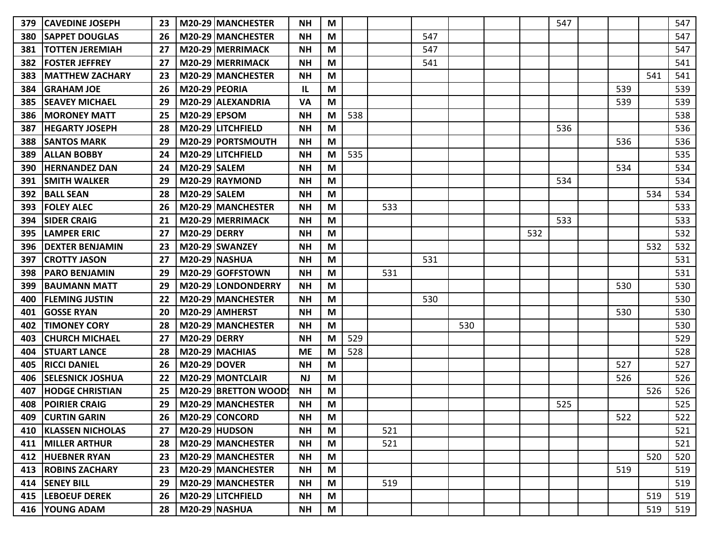| 379 | <b>CAVEDINE JOSEPH</b>  | 23 |                      | M20-29 MANCHESTER    | NΗ        | М |     |     |     |     |     | 547 |     |     | 547 |
|-----|-------------------------|----|----------------------|----------------------|-----------|---|-----|-----|-----|-----|-----|-----|-----|-----|-----|
| 380 | <b>SAPPET DOUGLAS</b>   | 26 |                      | M20-29 MANCHESTER    | <b>NH</b> | М |     |     | 547 |     |     |     |     |     | 547 |
| 381 | <b>TOTTEN JEREMIAH</b>  | 27 |                      | M20-29 MERRIMACK     | <b>NH</b> | M |     |     | 547 |     |     |     |     |     | 547 |
| 382 | <b>FOSTER JEFFREY</b>   | 27 |                      | M20-29 MERRIMACK     | <b>NH</b> | M |     |     | 541 |     |     |     |     |     | 541 |
| 383 | <b>MATTHEW ZACHARY</b>  | 23 |                      | M20-29 MANCHESTER    | <b>NH</b> | M |     |     |     |     |     |     |     | 541 | 541 |
| 384 | <b>GRAHAM JOE</b>       | 26 | <b>M20-29 PEORIA</b> |                      | IL.       | M |     |     |     |     |     |     | 539 |     | 539 |
| 385 | <b>SEAVEY MICHAEL</b>   | 29 |                      | M20-29 ALEXANDRIA    | <b>VA</b> | М |     |     |     |     |     |     | 539 |     | 539 |
| 386 | <b>MORONEY MATT</b>     | 25 | <b>M20-29 EPSOM</b>  |                      | <b>NH</b> | М | 538 |     |     |     |     |     |     |     | 538 |
| 387 | <b>HEGARTY JOSEPH</b>   | 28 |                      | M20-29 LITCHFIELD    | <b>NH</b> | M |     |     |     |     |     | 536 |     |     | 536 |
| 388 | <b>SANTOS MARK</b>      | 29 |                      | M20-29 PORTSMOUTH    | <b>NH</b> | M |     |     |     |     |     |     | 536 |     | 536 |
| 389 | <b>ALLAN BOBBY</b>      | 24 |                      | M20-29 LITCHFIELD    | <b>NH</b> | M | 535 |     |     |     |     |     |     |     | 535 |
| 390 | <b>HERNANDEZ DAN</b>    | 24 | M20-29 SALEM         |                      | <b>NH</b> | M |     |     |     |     |     |     | 534 |     | 534 |
| 391 | <b>SMITH WALKER</b>     | 29 |                      | M20-29 RAYMOND       | <b>NH</b> | M |     |     |     |     |     | 534 |     |     | 534 |
| 392 | <b>BALL SEAN</b>        | 28 | <b>M20-29 SALEM</b>  |                      | <b>NH</b> | М |     |     |     |     |     |     |     | 534 | 534 |
| 393 | <b>FOLEY ALEC</b>       | 26 |                      | M20-29 MANCHESTER    | <b>NH</b> | M |     | 533 |     |     |     |     |     |     | 533 |
| 394 | <b>SIDER CRAIG</b>      | 21 |                      | M20-29 MERRIMACK     | <b>NH</b> | M |     |     |     |     |     | 533 |     |     | 533 |
| 395 | <b>LAMPER ERIC</b>      | 27 | <b>M20-29 DERRY</b>  |                      | <b>NH</b> | M |     |     |     |     | 532 |     |     |     | 532 |
| 396 | <b>DEXTER BENJAMIN</b>  | 23 |                      | M20-29 SWANZEY       | <b>NH</b> | M |     |     |     |     |     |     |     | 532 | 532 |
| 397 | <b>CROTTY JASON</b>     | 27 |                      | M20-29 NASHUA        | <b>NH</b> | М |     |     | 531 |     |     |     |     |     | 531 |
| 398 | <b>PARO BENJAMIN</b>    | 29 |                      | M20-29 GOFFSTOWN     | <b>NH</b> | M |     | 531 |     |     |     |     |     |     | 531 |
| 399 | <b>BAUMANN MATT</b>     | 29 |                      | M20-29 LONDONDERRY   | <b>NH</b> | M |     |     |     |     |     |     | 530 |     | 530 |
| 400 | <b>FLEMING JUSTIN</b>   | 22 |                      | M20-29 MANCHESTER    | <b>NH</b> | M |     |     | 530 |     |     |     |     |     | 530 |
| 401 | <b>GOSSE RYAN</b>       | 20 |                      | M20-29 AMHERST       | <b>NH</b> | M |     |     |     |     |     |     | 530 |     | 530 |
| 402 | <b>TIMONEY CORY</b>     | 28 |                      | M20-29 MANCHESTER    | <b>NH</b> | M |     |     |     | 530 |     |     |     |     | 530 |
| 403 | <b>CHURCH MICHAEL</b>   | 27 | <b>M20-29 DERRY</b>  |                      | <b>NH</b> | M | 529 |     |     |     |     |     |     |     | 529 |
| 404 | <b>STUART LANCE</b>     | 28 |                      | M20-29 MACHIAS       | <b>ME</b> | М | 528 |     |     |     |     |     |     |     | 528 |
| 405 | <b>RICCI DANIEL</b>     | 26 | <b>M20-29 DOVER</b>  |                      | <b>NH</b> | М |     |     |     |     |     |     | 527 |     | 527 |
| 406 | <b>SELESNICK JOSHUA</b> | 22 |                      | M20-29 MONTCLAIR     | <b>NJ</b> | M |     |     |     |     |     |     | 526 |     | 526 |
| 407 | <b>HODGE CHRISTIAN</b>  | 25 |                      | M20-29 BRETTON WOOD: | <b>NH</b> | M |     |     |     |     |     |     |     | 526 | 526 |
| 408 | <b>POIRIER CRAIG</b>    | 29 |                      | M20-29 MANCHESTER    | <b>NH</b> | M |     |     |     |     |     | 525 |     |     | 525 |
| 409 | <b>CURTIN GARIN</b>     | 26 |                      | M20-29 CONCORD       | <b>NH</b> | M |     |     |     |     |     |     | 522 |     | 522 |
| 410 | <b>KLASSEN NICHOLAS</b> | 27 |                      | $M20-29$ HUDSON      | <b>NH</b> | M |     | 521 |     |     |     |     |     |     | 521 |
|     | 411   MILLER ARTHUR     | 28 |                      | M20-29 MANCHESTER    | <b>NH</b> | M |     | 521 |     |     |     |     |     |     | 521 |
|     | 412 HUEBNER RYAN        | 23 |                      | M20-29 MANCHESTER    | <b>NH</b> | M |     |     |     |     |     |     |     | 520 | 520 |
|     | 413 ROBINS ZACHARY      | 23 |                      | M20-29 MANCHESTER    | <b>NH</b> | M |     |     |     |     |     |     | 519 |     | 519 |
|     | 414 SENEY BILL          | 29 |                      | M20-29 MANCHESTER    | <b>NH</b> | M |     | 519 |     |     |     |     |     |     | 519 |
|     | 415 LEBOEUF DEREK       | 26 |                      | M20-29 LITCHFIELD    | <b>NH</b> | M |     |     |     |     |     |     |     | 519 | 519 |
|     | 416 YOUNG ADAM          | 28 |                      | <b>M20-29 NASHUA</b> | <b>NH</b> | M |     |     |     |     |     |     |     | 519 | 519 |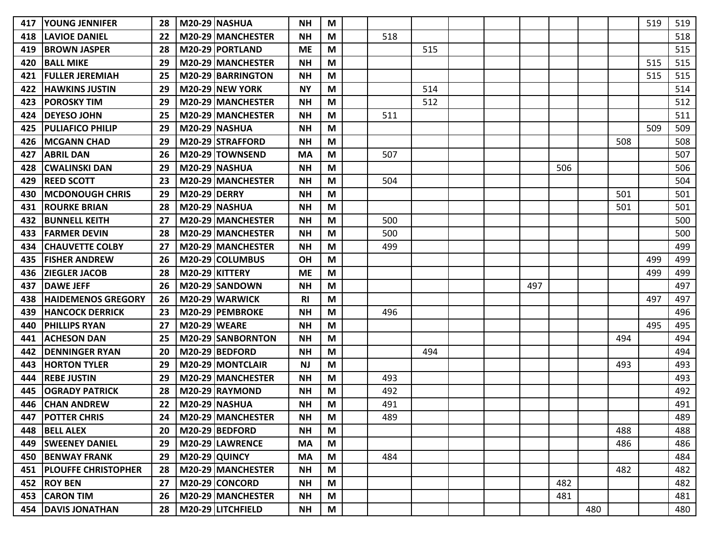| 417 | <b>YOUNG JENNIFER</b>      | 28 |                     | <b>M20-29 NASHUA</b>     | <b>NH</b>      | M                         |     |     |  |     |     |     |     | 519 | 519 |
|-----|----------------------------|----|---------------------|--------------------------|----------------|---------------------------|-----|-----|--|-----|-----|-----|-----|-----|-----|
| 418 | <b>LAVIOE DANIEL</b>       | 22 |                     | M20-29 MANCHESTER        | <b>NH</b>      | M                         | 518 |     |  |     |     |     |     |     | 518 |
| 419 | <b>BROWN JASPER</b>        | 28 |                     | M20-29 PORTLAND          | <b>ME</b>      | M                         |     | 515 |  |     |     |     |     |     | 515 |
| 420 | <b>BALL MIKE</b>           | 29 |                     | M20-29 MANCHESTER        | <b>NH</b>      | M                         |     |     |  |     |     |     |     | 515 | 515 |
| 421 | <b>FULLER JEREMIAH</b>     | 25 |                     | <b>M20-29 BARRINGTON</b> | <b>NH</b>      | M                         |     |     |  |     |     |     |     | 515 | 515 |
| 422 | <b>HAWKINS JUSTIN</b>      | 29 |                     | <b>M20-29 NEW YORK</b>   | <b>NY</b>      | M                         |     | 514 |  |     |     |     |     |     | 514 |
| 423 | <b>POROSKY TIM</b>         | 29 |                     | M20-29 MANCHESTER        | <b>NH</b>      | M                         |     | 512 |  |     |     |     |     |     | 512 |
| 424 | <b>DEYESO JOHN</b>         | 25 |                     | M20-29 MANCHESTER        | <b>NH</b>      | M                         | 511 |     |  |     |     |     |     |     | 511 |
| 425 | <b>PULIAFICO PHILIP</b>    | 29 |                     | <b>M20-29 NASHUA</b>     | <b>NH</b>      | M                         |     |     |  |     |     |     |     | 509 | 509 |
| 426 | <b>MCGANN CHAD</b>         | 29 |                     | M20-29 STRAFFORD         | <b>NH</b>      | M                         |     |     |  |     |     |     | 508 |     | 508 |
| 427 | <b>ABRIL DAN</b>           | 26 |                     | M20-29 TOWNSEND          | <b>MA</b>      | M                         | 507 |     |  |     |     |     |     |     | 507 |
| 428 | <b>CWALINSKI DAN</b>       | 29 |                     | <b>M20-29 NASHUA</b>     | <b>NH</b>      | M                         |     |     |  |     | 506 |     |     |     | 506 |
| 429 | <b>REED SCOTT</b>          | 23 |                     | M20-29 MANCHESTER        | <b>NH</b>      | M                         | 504 |     |  |     |     |     |     |     | 504 |
| 430 | <b>MCDONOUGH CHRIS</b>     | 29 | <b>M20-29 DERRY</b> |                          | <b>NH</b>      | M                         |     |     |  |     |     |     | 501 |     | 501 |
| 431 | <b>ROURKE BRIAN</b>        | 28 |                     | <b>M20-29 NASHUA</b>     | <b>NH</b>      | M                         |     |     |  |     |     |     | 501 |     | 501 |
| 432 | <b>BUNNELL KEITH</b>       | 27 |                     | M20-29 MANCHESTER        | <b>NH</b>      | M                         | 500 |     |  |     |     |     |     |     | 500 |
| 433 | <b>FARMER DEVIN</b>        | 28 |                     | M20-29 MANCHESTER        | <b>NH</b>      | M                         | 500 |     |  |     |     |     |     |     | 500 |
| 434 | <b>CHAUVETTE COLBY</b>     | 27 |                     | M20-29 MANCHESTER        | <b>NH</b>      | M                         | 499 |     |  |     |     |     |     |     | 499 |
| 435 | <b>IFISHER ANDREW</b>      | 26 |                     | M20-29 COLUMBUS          | <b>OH</b>      | M                         |     |     |  |     |     |     |     | 499 | 499 |
| 436 | ZIEGLER JACOB              | 28 |                     | M20-29 KITTERY           | <b>ME</b>      | M                         |     |     |  |     |     |     |     | 499 | 499 |
| 437 | <b>DAWE JEFF</b>           | 26 |                     | M20-29 SANDOWN           | <b>NH</b>      | M                         |     |     |  | 497 |     |     |     |     | 497 |
| 438 | <b>HAIDEMENOS GREGORY</b>  | 26 |                     | M20-29 WARWICK           | R <sub>l</sub> | M                         |     |     |  |     |     |     |     | 497 | 497 |
| 439 | <b>HANCOCK DERRICK</b>     | 23 |                     | M20-29 PEMBROKE          | <b>NH</b>      | M                         | 496 |     |  |     |     |     |     |     | 496 |
| 440 | <b>PHILLIPS RYAN</b>       | 27 | <b>M20-29 WEARE</b> |                          | <b>NH</b>      | M                         |     |     |  |     |     |     |     | 495 | 495 |
| 441 | <b>ACHESON DAN</b>         | 25 |                     | <b>M20-29 SANBORNTON</b> | <b>NH</b>      | M                         |     |     |  |     |     |     | 494 |     | 494 |
| 442 | <b>DENNINGER RYAN</b>      | 20 |                     | M20-29 BEDFORD           | <b>NH</b>      | M                         |     | 494 |  |     |     |     |     |     | 494 |
| 443 | <b>HORTON TYLER</b>        | 29 |                     | M20-29 MONTCLAIR         | <b>NJ</b>      | M                         |     |     |  |     |     |     | 493 |     | 493 |
| 444 | <b>REBE JUSTIN</b>         | 29 |                     | M20-29 MANCHESTER        | <b>NH</b>      | M                         | 493 |     |  |     |     |     |     |     | 493 |
| 445 | <b>OGRADY PATRICK</b>      | 28 |                     | M20-29 RAYMOND           | <b>NH</b>      | M                         | 492 |     |  |     |     |     |     |     | 492 |
| 446 | <b>CHAN ANDREW</b>         | 22 |                     | <b>M20-29 NASHUA</b>     | <b>NH</b>      | M                         | 491 |     |  |     |     |     |     |     | 491 |
| 447 | <b>POTTER CHRIS</b>        | 24 |                     | M20-29 MANCHESTER        | <b>NH</b>      | M                         | 489 |     |  |     |     |     |     |     | 489 |
| 448 | <b>BELL ALEX</b>           | 20 |                     | M20-29 BEDFORD           | <b>NH</b>      | M                         |     |     |  |     |     |     | 488 |     | 488 |
|     | 449   SWEENEY DANIEL       | 29 |                     | M20-29 LAWRENCE          | <b>MA</b>      | M                         |     |     |  |     |     |     | 486 |     | 486 |
|     | <b>450 BENWAY FRANK</b>    | 29 |                     | M20-29 QUINCY            | <b>MA</b>      | M                         | 484 |     |  |     |     |     |     |     | 484 |
| 451 | <b>PLOUFFE CHRISTOPHER</b> | 28 |                     | M20-29 MANCHESTER        | <b>NH</b>      | $\boldsymbol{\mathsf{M}}$ |     |     |  |     |     |     | 482 |     | 482 |
|     | 452 ROY BEN                | 27 |                     | M20-29 CONCORD           | <b>NH</b>      | M                         |     |     |  |     | 482 |     |     |     | 482 |
|     | 453 CARON TIM              | 26 |                     | M20-29 MANCHESTER        | <b>NH</b>      | M                         |     |     |  |     | 481 |     |     |     | 481 |
|     | 454   DAVIS JONATHAN       | 28 |                     | M20-29 LITCHFIELD        | <b>NH</b>      | M                         |     |     |  |     |     | 480 |     |     | 480 |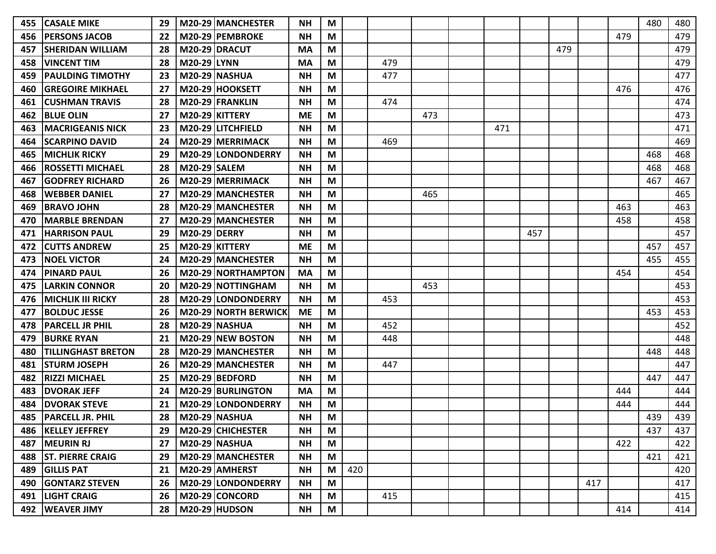| 455 | <b>CASALE MIKE</b>        | 29 |                     | M20-29   MANCHESTER         | <b>NH</b> | M |     |     |     |     |     |     |     |     | 480 | 480 |
|-----|---------------------------|----|---------------------|-----------------------------|-----------|---|-----|-----|-----|-----|-----|-----|-----|-----|-----|-----|
| 456 | <b>PERSONS JACOB</b>      | 22 |                     | M20-29 PEMBROKE             | <b>NH</b> | M |     |     |     |     |     |     |     | 479 |     | 479 |
| 457 | <b>SHERIDAN WILLIAM</b>   | 28 |                     | <b>M20-29 DRACUT</b>        | <b>MA</b> | M |     |     |     |     |     | 479 |     |     |     | 479 |
| 458 | <b>VINCENT TIM</b>        | 28 | <b>M20-29 LYNN</b>  |                             | <b>MA</b> | M |     | 479 |     |     |     |     |     |     |     | 479 |
| 459 | <b>PAULDING TIMOTHY</b>   | 23 |                     | <b>M20-29 NASHUA</b>        | <b>NH</b> | M |     | 477 |     |     |     |     |     |     |     | 477 |
| 460 | <b>IGREGOIRE MIKHAEL</b>  | 27 |                     | M20-29 HOOKSETT             | <b>NH</b> | M |     |     |     |     |     |     |     | 476 |     | 476 |
| 461 | <b>ICUSHMAN TRAVIS</b>    | 28 |                     | M20-29 FRANKLIN             | <b>NH</b> | M |     | 474 |     |     |     |     |     |     |     | 474 |
| 462 | <b>BLUE OLIN</b>          | 27 |                     | M20-29 KITTERY              | <b>ME</b> | M |     |     | 473 |     |     |     |     |     |     | 473 |
| 463 | <b>MACRIGEANIS NICK</b>   | 23 |                     | M20-29 LITCHFIELD           | <b>NH</b> | M |     |     |     | 471 |     |     |     |     |     | 471 |
| 464 | <b>SCARPINO DAVID</b>     | 24 |                     | M20-29 MERRIMACK            | <b>NH</b> | M |     | 469 |     |     |     |     |     |     |     | 469 |
| 465 | <b>MICHLIK RICKY</b>      | 29 |                     | M20-29 LONDONDERRY          | <b>NH</b> | M |     |     |     |     |     |     |     |     | 468 | 468 |
| 466 | <b>ROSSETTI MICHAEL</b>   | 28 | <b>M20-29 SALEM</b> |                             | <b>NH</b> | M |     |     |     |     |     |     |     |     | 468 | 468 |
| 467 | <b>IGODFREY RICHARD</b>   | 26 |                     | M20-29 MERRIMACK            | <b>NH</b> | M |     |     |     |     |     |     |     |     | 467 | 467 |
| 468 | <b>WEBBER DANIEL</b>      | 27 |                     | M20-29 MANCHESTER           | <b>NH</b> | M |     |     | 465 |     |     |     |     |     |     | 465 |
| 469 | <b>BRAVO JOHN</b>         | 28 |                     | M20-29 MANCHESTER           | <b>NH</b> | M |     |     |     |     |     |     |     | 463 |     | 463 |
| 470 | <b>MARBLE BRENDAN</b>     | 27 |                     | M20-29 MANCHESTER           | <b>NH</b> | M |     |     |     |     |     |     |     | 458 |     | 458 |
| 471 | <b>HARRISON PAUL</b>      | 29 | <b>M20-29 DERRY</b> |                             | <b>NH</b> | M |     |     |     |     | 457 |     |     |     |     | 457 |
| 472 | <b>CUTTS ANDREW</b>       | 25 |                     | M20-29 KITTERY              | <b>ME</b> | M |     |     |     |     |     |     |     |     | 457 | 457 |
| 473 | <b>NOEL VICTOR</b>        | 24 |                     | M20-29 MANCHESTER           | <b>NH</b> | M |     |     |     |     |     |     |     |     | 455 | 455 |
| 474 | <b>PINARD PAUL</b>        | 26 |                     | <b>M20-29 NORTHAMPTON</b>   | MA        | M |     |     |     |     |     |     |     | 454 |     | 454 |
| 475 | <b>LARKIN CONNOR</b>      | 20 |                     | M20-29 NOTTINGHAM           | <b>NH</b> | M |     |     | 453 |     |     |     |     |     |     | 453 |
| 476 | <b>MICHLIK III RICKY</b>  | 28 |                     | M20-29 LONDONDERRY          | <b>NH</b> | M |     | 453 |     |     |     |     |     |     |     | 453 |
| 477 | <b>BOLDUC JESSE</b>       | 26 |                     | <b>M20-29 NORTH BERWICK</b> | <b>ME</b> | M |     |     |     |     |     |     |     |     | 453 | 453 |
| 478 | <b>PARCELL JR PHIL</b>    | 28 |                     | M20-29 NASHUA               | <b>NH</b> | M |     | 452 |     |     |     |     |     |     |     | 452 |
| 479 | <b>BURKE RYAN</b>         | 21 |                     | M20-29 NEW BOSTON           | <b>NH</b> | M |     | 448 |     |     |     |     |     |     |     | 448 |
| 480 | <b>TILLINGHAST BRETON</b> | 28 |                     | M20-29 MANCHESTER           | <b>NH</b> | M |     |     |     |     |     |     |     |     | 448 | 448 |
| 481 | STURM JOSEPH              | 26 |                     | M20-29   MANCHESTER         | <b>NH</b> | M |     | 447 |     |     |     |     |     |     |     | 447 |
| 482 | <b>RIZZI MICHAEL</b>      | 25 |                     | M20-29 BEDFORD              | <b>NH</b> | M |     |     |     |     |     |     |     |     | 447 | 447 |
| 483 | <b>DVORAK JEFF</b>        | 24 |                     | M20-29 BURLINGTON           | <b>MA</b> | M |     |     |     |     |     |     |     | 444 |     | 444 |
| 484 | <b>DVORAK STEVE</b>       | 21 |                     | M20-29 LONDONDERRY          | <b>NH</b> | M |     |     |     |     |     |     |     | 444 |     | 444 |
| 485 | <b>PARCELL JR. PHIL</b>   | 28 |                     | <b>M20-29 NASHUA</b>        | <b>NH</b> | M |     |     |     |     |     |     |     |     | 439 | 439 |
|     | 486   KELLEY JEFFREY      | 29 |                     | M20-29 CHICHESTER           | <b>NH</b> | M |     |     |     |     |     |     |     |     | 437 | 437 |
|     | 487   MEURIN RJ           | 27 |                     | <b>M20-29 NASHUA</b>        | <b>NH</b> | M |     |     |     |     |     |     |     | 422 |     | 422 |
| 488 | <b>ST. PIERRE CRAIG</b>   | 29 |                     | M20-29 MANCHESTER           | <b>NH</b> | M |     |     |     |     |     |     |     |     | 421 | 421 |
| 489 | <b>GILLIS PAT</b>         | 21 |                     | M20-29 AMHERST              | <b>NH</b> | M | 420 |     |     |     |     |     |     |     |     | 420 |
| 490 | <b>GONTARZ STEVEN</b>     | 26 |                     | M20-29 LONDONDERRY          | <b>NH</b> | M |     |     |     |     |     |     | 417 |     |     | 417 |
|     | 491  LIGHT CRAIG          | 26 |                     | M20-29 CONCORD              | <b>NH</b> | M |     | 415 |     |     |     |     |     |     |     | 415 |
|     | 492   WEAVER JIMY         | 28 |                     | $M20-29$ HUDSON             | <b>NH</b> | M |     |     |     |     |     |     |     | 414 |     | 414 |